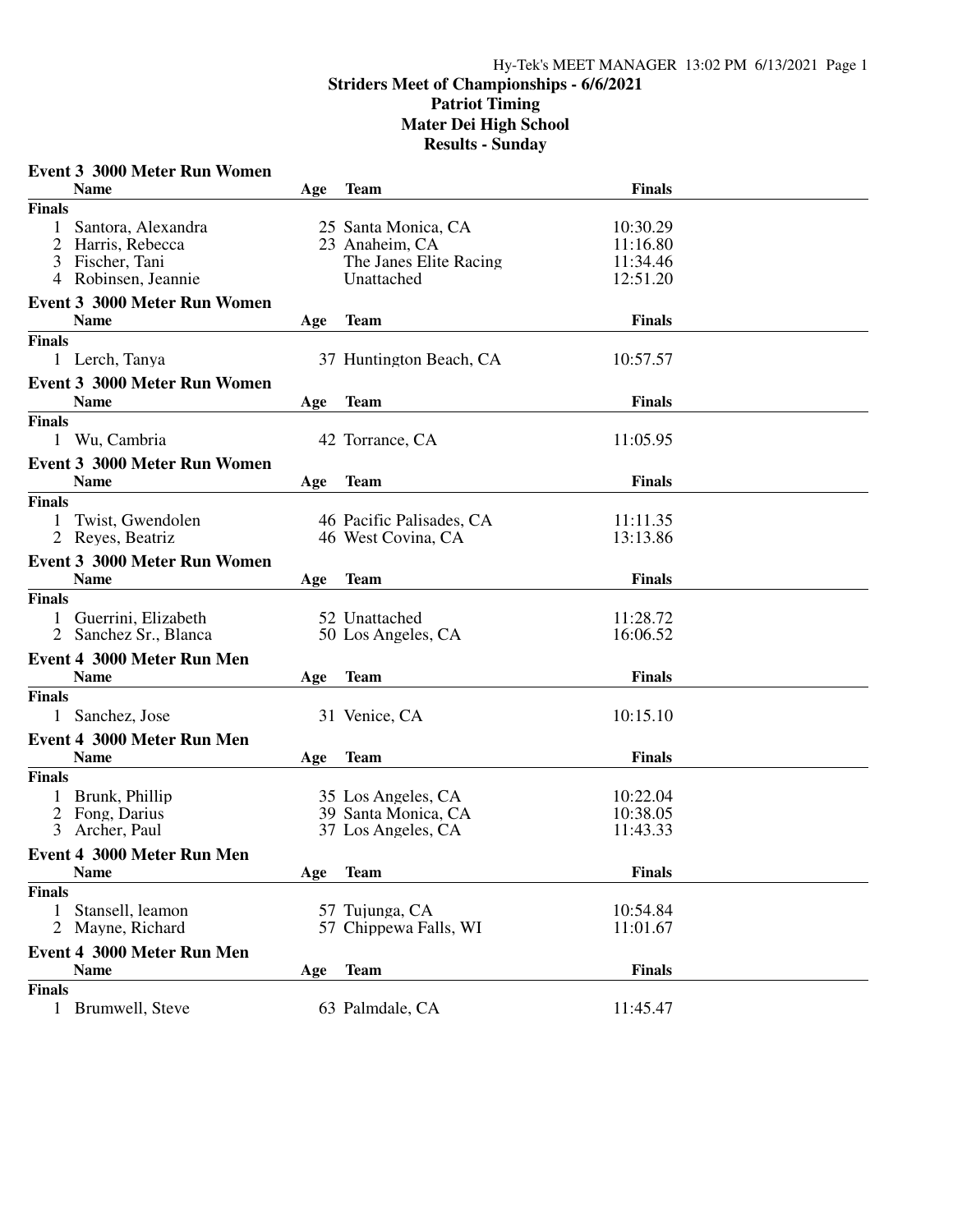|                | <b>Event 3 3000 Meter Run Women</b>                |     |                          |               |  |
|----------------|----------------------------------------------------|-----|--------------------------|---------------|--|
|                | <b>Name</b>                                        | Age | <b>Team</b>              | <b>Finals</b> |  |
| <b>Finals</b>  |                                                    |     |                          |               |  |
| 1              | Santora, Alexandra                                 |     | 25 Santa Monica, CA      | 10:30.29      |  |
|                | 2 Harris, Rebecca                                  |     | 23 Anaheim, CA           | 11:16.80      |  |
|                | 3 Fischer, Tani                                    |     | The Janes Elite Racing   | 11:34.46      |  |
|                | 4 Robinsen, Jeannie                                |     | Unattached               | 12:51.20      |  |
|                | <b>Event 3 3000 Meter Run Women</b>                |     |                          |               |  |
|                | <b>Name</b>                                        | Age | <b>Team</b>              | <b>Finals</b> |  |
| <b>Finals</b>  |                                                    |     |                          |               |  |
|                | 1 Lerch, Tanya                                     |     | 37 Huntington Beach, CA  | 10:57.57      |  |
|                | Event 3 3000 Meter Run Women                       |     |                          |               |  |
|                | <b>Name</b>                                        | Age | <b>Team</b>              | <b>Finals</b> |  |
| <b>Finals</b>  |                                                    |     |                          |               |  |
|                | 1 Wu, Cambria                                      |     | 42 Torrance, CA          | 11:05.95      |  |
|                |                                                    |     |                          |               |  |
|                | <b>Event 3 3000 Meter Run Women</b><br><b>Name</b> |     |                          |               |  |
|                |                                                    | Age | <b>Team</b>              | <b>Finals</b> |  |
| <b>Finals</b>  |                                                    |     |                          |               |  |
|                | Twist, Gwendolen                                   |     | 46 Pacific Palisades, CA | 11:11.35      |  |
|                | 2 Reyes, Beatriz                                   |     | 46 West Covina, CA       | 13:13.86      |  |
|                | <b>Event 3 3000 Meter Run Women</b>                |     |                          |               |  |
|                | <b>Name</b>                                        | Age | <b>Team</b>              | <b>Finals</b> |  |
| <b>Finals</b>  |                                                    |     |                          |               |  |
| $\mathbf{1}$   | Guerrini, Elizabeth                                |     | 52 Unattached            | 11:28.72      |  |
|                | 2 Sanchez Sr., Blanca                              |     | 50 Los Angeles, CA       | 16:06.52      |  |
|                | <b>Event 4 3000 Meter Run Men</b>                  |     |                          |               |  |
|                | <b>Name</b>                                        | Age | Team                     | <b>Finals</b> |  |
| <b>Finals</b>  |                                                    |     |                          |               |  |
|                | 1 Sanchez, Jose                                    |     | 31 Venice, CA            | 10:15.10      |  |
|                | Event 4 3000 Meter Run Men                         |     |                          |               |  |
|                | <b>Name</b>                                        | Age | <b>Team</b>              | <b>Finals</b> |  |
| <b>Finals</b>  |                                                    |     |                          |               |  |
|                | Brunk, Phillip                                     |     | 35 Los Angeles, CA       | 10:22.04      |  |
|                | 2 Fong, Darius                                     |     | 39 Santa Monica, CA      | 10:38.05      |  |
| $\mathfrak{Z}$ | Archer, Paul                                       |     | 37 Los Angeles, CA       | 11:43.33      |  |
|                | Event 4 3000 Meter Run Men                         |     |                          |               |  |
|                | <b>Name</b>                                        | Age | <b>Team</b>              | <b>Finals</b> |  |
| <b>Finals</b>  |                                                    |     |                          |               |  |
| 1              | Stansell, leamon                                   |     | 57 Tujunga, CA           | 10:54.84      |  |
| 2              | Mayne, Richard                                     |     | 57 Chippewa Falls, WI    | 11:01.67      |  |
|                |                                                    |     |                          |               |  |
|                | Event 4 3000 Meter Run Men                         |     |                          |               |  |
|                | <b>Name</b>                                        | Age | <b>Team</b>              | Finals        |  |
| <b>Finals</b>  |                                                    |     |                          |               |  |
|                | 1 Brumwell, Steve                                  |     | 63 Palmdale, CA          | 11:45.47      |  |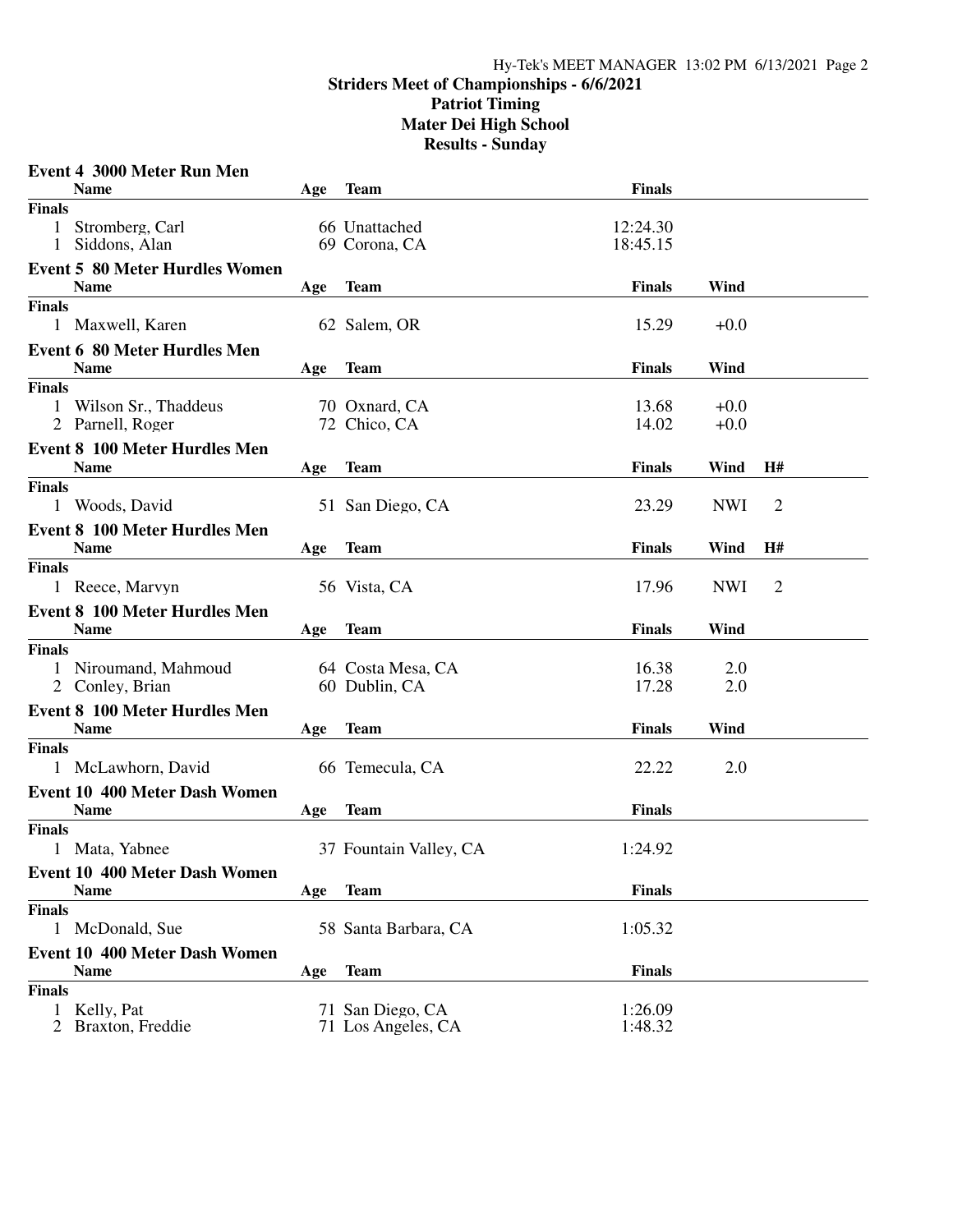|               | Event 4 3000 Meter Run Men                          |     |                        |               |            |                |  |
|---------------|-----------------------------------------------------|-----|------------------------|---------------|------------|----------------|--|
|               | <b>Name</b>                                         | Age | <b>Team</b>            | <b>Finals</b> |            |                |  |
| <b>Finals</b> |                                                     |     |                        |               |            |                |  |
| $\mathbf{1}$  | Stromberg, Carl                                     |     | 66 Unattached          | 12:24.30      |            |                |  |
| $\mathbf{1}$  | Siddons, Alan                                       |     | 69 Corona, CA          | 18:45.15      |            |                |  |
|               | <b>Event 5 80 Meter Hurdles Women</b>               |     |                        |               |            |                |  |
|               | <b>Name</b>                                         | Age | <b>Team</b>            | <b>Finals</b> | Wind       |                |  |
| <b>Finals</b> |                                                     |     |                        |               |            |                |  |
|               | 1 Maxwell, Karen                                    |     | 62 Salem, OR           | 15.29         | $+0.0$     |                |  |
|               | <b>Event 6 80 Meter Hurdles Men</b>                 |     |                        |               |            |                |  |
|               | <b>Name</b>                                         | Age | <b>Team</b>            | <b>Finals</b> | Wind       |                |  |
| <b>Finals</b> |                                                     |     |                        |               |            |                |  |
|               | 1 Wilson Sr., Thaddeus                              |     | 70 Oxnard, CA          | 13.68         | $+0.0$     |                |  |
|               | 2 Parnell, Roger                                    |     | 72 Chico, CA           | 14.02         | $+0.0$     |                |  |
|               | <b>Event 8 100 Meter Hurdles Men</b>                |     |                        |               |            |                |  |
|               | <b>Name</b>                                         |     | <b>Team</b>            | <b>Finals</b> | Wind       | H#             |  |
| <b>Finals</b> |                                                     | Age |                        |               |            |                |  |
|               | 1 Woods, David                                      |     | 51 San Diego, CA       | 23.29         | <b>NWI</b> | $\overline{2}$ |  |
|               |                                                     |     |                        |               |            |                |  |
|               | <b>Event 8 100 Meter Hurdles Men</b>                |     |                        |               |            |                |  |
|               | <b>Name</b>                                         | Age | <b>Team</b>            | <b>Finals</b> | Wind       | H#             |  |
| <b>Finals</b> |                                                     |     |                        |               |            |                |  |
|               | 1 Reece, Marvyn                                     |     | 56 Vista, CA           | 17.96         | <b>NWI</b> | $\overline{2}$ |  |
|               | <b>Event 8 100 Meter Hurdles Men</b>                |     |                        |               |            |                |  |
|               | <b>Name</b>                                         | Age | <b>Team</b>            | <b>Finals</b> | Wind       |                |  |
| <b>Finals</b> |                                                     |     |                        |               |            |                |  |
|               | 1 Niroumand, Mahmoud                                |     | 64 Costa Mesa, CA      | 16.38         | 2.0        |                |  |
|               | 2 Conley, Brian                                     |     | 60 Dublin, CA          | 17.28         | 2.0        |                |  |
|               | <b>Event 8 100 Meter Hurdles Men</b>                |     |                        |               |            |                |  |
|               | <b>Name</b>                                         | Age | <b>Team</b>            | <b>Finals</b> | Wind       |                |  |
| <b>Finals</b> |                                                     |     |                        |               |            |                |  |
|               | 1 McLawhorn, David                                  |     | 66 Temecula, CA        | 22.22         | 2.0        |                |  |
|               | <b>Event 10 400 Meter Dash Women</b>                |     |                        |               |            |                |  |
|               | <b>Name</b>                                         | Age | <b>Team</b>            | <b>Finals</b> |            |                |  |
| <b>Finals</b> |                                                     |     |                        |               |            |                |  |
|               | 1 Mata, Yabnee                                      |     | 37 Fountain Valley, CA | 1:24.92       |            |                |  |
|               |                                                     |     |                        |               |            |                |  |
|               | <b>Event 10 400 Meter Dash Women</b><br><b>Name</b> |     |                        | <b>Finals</b> |            |                |  |
|               |                                                     | Age | <b>Team</b>            |               |            |                |  |
| <b>Finals</b> |                                                     |     |                        |               |            |                |  |
|               | 1 McDonald, Sue                                     |     | 58 Santa Barbara, CA   | 1:05.32       |            |                |  |
|               | <b>Event 10 400 Meter Dash Women</b>                |     |                        |               |            |                |  |
|               | <b>Name</b>                                         | Age | <b>Team</b>            | <b>Finals</b> |            |                |  |
| <b>Finals</b> |                                                     |     |                        |               |            |                |  |
| $\mathbf{1}$  | Kelly, Pat                                          |     | 71 San Diego, CA       | 1:26.09       |            |                |  |
|               | 2 Braxton, Freddie                                  |     | 71 Los Angeles, CA     | 1:48.32       |            |                |  |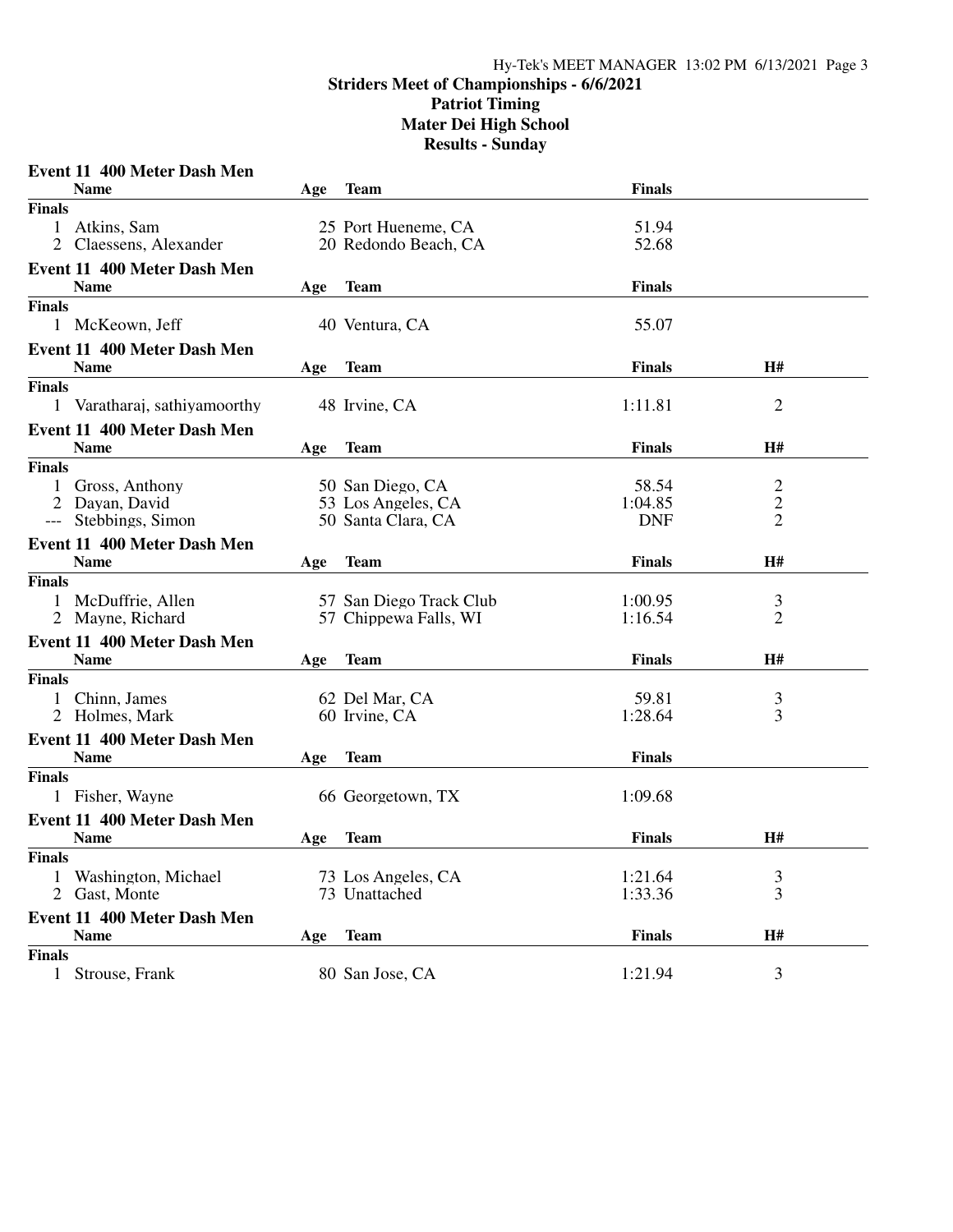| <b>Name</b><br><b>Finals</b><br><b>Team</b><br>Age<br>1 Atkins, Sam<br>25 Port Hueneme, CA<br>51.94<br>52.68<br>2 Claessens, Alexander<br>20 Redondo Beach, CA<br><b>Event 11 400 Meter Dash Men</b><br><b>Name</b><br><b>Team</b><br><b>Finals</b><br>Age<br>1 McKeown, Jeff<br>40 Ventura, CA<br>55.07<br>Event 11 400 Meter Dash Men<br>H#<br><b>Finals</b><br><b>Name</b><br><b>Team</b><br>Age<br>2<br>Varatharaj, sathiyamoorthy<br>1:11.81<br>$\mathbf{1}$<br>48 Irvine, CA<br>Event 11 400 Meter Dash Men<br><b>Team</b><br><b>Finals</b><br>H#<br><b>Name</b><br>Age<br>$\overline{c}$<br>Gross, Anthony<br>50 San Diego, CA<br>58.54<br>$\mathbf{1}$<br>$\overline{c}$<br>2 Dayan, David<br>53 Los Angeles, CA<br>1:04.85<br>$\overline{2}$<br>Stebbings, Simon<br>50 Santa Clara, CA<br><b>DNF</b><br>$---$<br>Event 11 400 Meter Dash Men<br>H#<br><b>Finals</b><br><b>Name</b><br><b>Team</b><br>Age<br>McDuffrie, Allen<br>57 San Diego Track Club<br>1:00.95<br>3<br>2 Mayne, Richard<br>2<br>57 Chippewa Falls, WI<br>1:16.54<br>Event 11 400 Meter Dash Men<br><b>Name</b><br><b>H#</b><br><b>Team</b><br><b>Finals</b><br>Age<br>Chinn, James<br>62 Del Mar, CA<br>59.81<br>3<br>$\overline{3}$<br>Holmes, Mark<br>60 Irvine, CA<br>1:28.64<br>Event 11 400 Meter Dash Men<br><b>Name</b><br><b>Finals</b><br><b>Team</b><br>Age<br>1 Fisher, Wayne<br>66 Georgetown, TX<br>1:09.68<br>Event 11 400 Meter Dash Men<br><b>Finals</b><br><b>H#</b><br><b>Name</b><br><b>Team</b><br>Age<br><b>Finals</b><br>73 Los Angeles, CA<br>1:21.64<br>Washington, Michael<br>3 |               | Event 11 400 Meter Dash Men |               |         |   |  |
|---------------------------------------------------------------------------------------------------------------------------------------------------------------------------------------------------------------------------------------------------------------------------------------------------------------------------------------------------------------------------------------------------------------------------------------------------------------------------------------------------------------------------------------------------------------------------------------------------------------------------------------------------------------------------------------------------------------------------------------------------------------------------------------------------------------------------------------------------------------------------------------------------------------------------------------------------------------------------------------------------------------------------------------------------------------------------------------------------------------------------------------------------------------------------------------------------------------------------------------------------------------------------------------------------------------------------------------------------------------------------------------------------------------------------------------------------------------------------------------------------------------------------------------------------------------------------------------|---------------|-----------------------------|---------------|---------|---|--|
|                                                                                                                                                                                                                                                                                                                                                                                                                                                                                                                                                                                                                                                                                                                                                                                                                                                                                                                                                                                                                                                                                                                                                                                                                                                                                                                                                                                                                                                                                                                                                                                       |               |                             |               |         |   |  |
|                                                                                                                                                                                                                                                                                                                                                                                                                                                                                                                                                                                                                                                                                                                                                                                                                                                                                                                                                                                                                                                                                                                                                                                                                                                                                                                                                                                                                                                                                                                                                                                       | <b>Finals</b> |                             |               |         |   |  |
|                                                                                                                                                                                                                                                                                                                                                                                                                                                                                                                                                                                                                                                                                                                                                                                                                                                                                                                                                                                                                                                                                                                                                                                                                                                                                                                                                                                                                                                                                                                                                                                       |               |                             |               |         |   |  |
|                                                                                                                                                                                                                                                                                                                                                                                                                                                                                                                                                                                                                                                                                                                                                                                                                                                                                                                                                                                                                                                                                                                                                                                                                                                                                                                                                                                                                                                                                                                                                                                       |               |                             |               |         |   |  |
|                                                                                                                                                                                                                                                                                                                                                                                                                                                                                                                                                                                                                                                                                                                                                                                                                                                                                                                                                                                                                                                                                                                                                                                                                                                                                                                                                                                                                                                                                                                                                                                       |               |                             |               |         |   |  |
|                                                                                                                                                                                                                                                                                                                                                                                                                                                                                                                                                                                                                                                                                                                                                                                                                                                                                                                                                                                                                                                                                                                                                                                                                                                                                                                                                                                                                                                                                                                                                                                       |               |                             |               |         |   |  |
|                                                                                                                                                                                                                                                                                                                                                                                                                                                                                                                                                                                                                                                                                                                                                                                                                                                                                                                                                                                                                                                                                                                                                                                                                                                                                                                                                                                                                                                                                                                                                                                       | <b>Finals</b> |                             |               |         |   |  |
|                                                                                                                                                                                                                                                                                                                                                                                                                                                                                                                                                                                                                                                                                                                                                                                                                                                                                                                                                                                                                                                                                                                                                                                                                                                                                                                                                                                                                                                                                                                                                                                       |               |                             |               |         |   |  |
|                                                                                                                                                                                                                                                                                                                                                                                                                                                                                                                                                                                                                                                                                                                                                                                                                                                                                                                                                                                                                                                                                                                                                                                                                                                                                                                                                                                                                                                                                                                                                                                       |               |                             |               |         |   |  |
|                                                                                                                                                                                                                                                                                                                                                                                                                                                                                                                                                                                                                                                                                                                                                                                                                                                                                                                                                                                                                                                                                                                                                                                                                                                                                                                                                                                                                                                                                                                                                                                       |               |                             |               |         |   |  |
|                                                                                                                                                                                                                                                                                                                                                                                                                                                                                                                                                                                                                                                                                                                                                                                                                                                                                                                                                                                                                                                                                                                                                                                                                                                                                                                                                                                                                                                                                                                                                                                       | <b>Finals</b> |                             |               |         |   |  |
|                                                                                                                                                                                                                                                                                                                                                                                                                                                                                                                                                                                                                                                                                                                                                                                                                                                                                                                                                                                                                                                                                                                                                                                                                                                                                                                                                                                                                                                                                                                                                                                       |               |                             |               |         |   |  |
|                                                                                                                                                                                                                                                                                                                                                                                                                                                                                                                                                                                                                                                                                                                                                                                                                                                                                                                                                                                                                                                                                                                                                                                                                                                                                                                                                                                                                                                                                                                                                                                       |               |                             |               |         |   |  |
|                                                                                                                                                                                                                                                                                                                                                                                                                                                                                                                                                                                                                                                                                                                                                                                                                                                                                                                                                                                                                                                                                                                                                                                                                                                                                                                                                                                                                                                                                                                                                                                       |               |                             |               |         |   |  |
|                                                                                                                                                                                                                                                                                                                                                                                                                                                                                                                                                                                                                                                                                                                                                                                                                                                                                                                                                                                                                                                                                                                                                                                                                                                                                                                                                                                                                                                                                                                                                                                       | <b>Finals</b> |                             |               |         |   |  |
|                                                                                                                                                                                                                                                                                                                                                                                                                                                                                                                                                                                                                                                                                                                                                                                                                                                                                                                                                                                                                                                                                                                                                                                                                                                                                                                                                                                                                                                                                                                                                                                       |               |                             |               |         |   |  |
|                                                                                                                                                                                                                                                                                                                                                                                                                                                                                                                                                                                                                                                                                                                                                                                                                                                                                                                                                                                                                                                                                                                                                                                                                                                                                                                                                                                                                                                                                                                                                                                       |               |                             |               |         |   |  |
|                                                                                                                                                                                                                                                                                                                                                                                                                                                                                                                                                                                                                                                                                                                                                                                                                                                                                                                                                                                                                                                                                                                                                                                                                                                                                                                                                                                                                                                                                                                                                                                       |               |                             |               |         |   |  |
|                                                                                                                                                                                                                                                                                                                                                                                                                                                                                                                                                                                                                                                                                                                                                                                                                                                                                                                                                                                                                                                                                                                                                                                                                                                                                                                                                                                                                                                                                                                                                                                       |               |                             |               |         |   |  |
|                                                                                                                                                                                                                                                                                                                                                                                                                                                                                                                                                                                                                                                                                                                                                                                                                                                                                                                                                                                                                                                                                                                                                                                                                                                                                                                                                                                                                                                                                                                                                                                       |               |                             |               |         |   |  |
|                                                                                                                                                                                                                                                                                                                                                                                                                                                                                                                                                                                                                                                                                                                                                                                                                                                                                                                                                                                                                                                                                                                                                                                                                                                                                                                                                                                                                                                                                                                                                                                       | <b>Finals</b> |                             |               |         |   |  |
|                                                                                                                                                                                                                                                                                                                                                                                                                                                                                                                                                                                                                                                                                                                                                                                                                                                                                                                                                                                                                                                                                                                                                                                                                                                                                                                                                                                                                                                                                                                                                                                       |               |                             |               |         |   |  |
|                                                                                                                                                                                                                                                                                                                                                                                                                                                                                                                                                                                                                                                                                                                                                                                                                                                                                                                                                                                                                                                                                                                                                                                                                                                                                                                                                                                                                                                                                                                                                                                       |               |                             |               |         |   |  |
|                                                                                                                                                                                                                                                                                                                                                                                                                                                                                                                                                                                                                                                                                                                                                                                                                                                                                                                                                                                                                                                                                                                                                                                                                                                                                                                                                                                                                                                                                                                                                                                       |               |                             |               |         |   |  |
|                                                                                                                                                                                                                                                                                                                                                                                                                                                                                                                                                                                                                                                                                                                                                                                                                                                                                                                                                                                                                                                                                                                                                                                                                                                                                                                                                                                                                                                                                                                                                                                       |               |                             |               |         |   |  |
|                                                                                                                                                                                                                                                                                                                                                                                                                                                                                                                                                                                                                                                                                                                                                                                                                                                                                                                                                                                                                                                                                                                                                                                                                                                                                                                                                                                                                                                                                                                                                                                       | <b>Finals</b> |                             |               |         |   |  |
|                                                                                                                                                                                                                                                                                                                                                                                                                                                                                                                                                                                                                                                                                                                                                                                                                                                                                                                                                                                                                                                                                                                                                                                                                                                                                                                                                                                                                                                                                                                                                                                       |               |                             |               |         |   |  |
|                                                                                                                                                                                                                                                                                                                                                                                                                                                                                                                                                                                                                                                                                                                                                                                                                                                                                                                                                                                                                                                                                                                                                                                                                                                                                                                                                                                                                                                                                                                                                                                       |               |                             |               |         |   |  |
|                                                                                                                                                                                                                                                                                                                                                                                                                                                                                                                                                                                                                                                                                                                                                                                                                                                                                                                                                                                                                                                                                                                                                                                                                                                                                                                                                                                                                                                                                                                                                                                       |               |                             |               |         |   |  |
|                                                                                                                                                                                                                                                                                                                                                                                                                                                                                                                                                                                                                                                                                                                                                                                                                                                                                                                                                                                                                                                                                                                                                                                                                                                                                                                                                                                                                                                                                                                                                                                       |               |                             |               |         |   |  |
|                                                                                                                                                                                                                                                                                                                                                                                                                                                                                                                                                                                                                                                                                                                                                                                                                                                                                                                                                                                                                                                                                                                                                                                                                                                                                                                                                                                                                                                                                                                                                                                       | <b>Finals</b> |                             |               |         |   |  |
|                                                                                                                                                                                                                                                                                                                                                                                                                                                                                                                                                                                                                                                                                                                                                                                                                                                                                                                                                                                                                                                                                                                                                                                                                                                                                                                                                                                                                                                                                                                                                                                       |               |                             |               |         |   |  |
|                                                                                                                                                                                                                                                                                                                                                                                                                                                                                                                                                                                                                                                                                                                                                                                                                                                                                                                                                                                                                                                                                                                                                                                                                                                                                                                                                                                                                                                                                                                                                                                       |               |                             |               |         |   |  |
|                                                                                                                                                                                                                                                                                                                                                                                                                                                                                                                                                                                                                                                                                                                                                                                                                                                                                                                                                                                                                                                                                                                                                                                                                                                                                                                                                                                                                                                                                                                                                                                       |               |                             |               |         |   |  |
|                                                                                                                                                                                                                                                                                                                                                                                                                                                                                                                                                                                                                                                                                                                                                                                                                                                                                                                                                                                                                                                                                                                                                                                                                                                                                                                                                                                                                                                                                                                                                                                       |               |                             |               |         |   |  |
|                                                                                                                                                                                                                                                                                                                                                                                                                                                                                                                                                                                                                                                                                                                                                                                                                                                                                                                                                                                                                                                                                                                                                                                                                                                                                                                                                                                                                                                                                                                                                                                       |               |                             |               |         |   |  |
|                                                                                                                                                                                                                                                                                                                                                                                                                                                                                                                                                                                                                                                                                                                                                                                                                                                                                                                                                                                                                                                                                                                                                                                                                                                                                                                                                                                                                                                                                                                                                                                       | 2             | Gast, Monte                 | 73 Unattached | 1:33.36 | 3 |  |
| Event 11 400 Meter Dash Men                                                                                                                                                                                                                                                                                                                                                                                                                                                                                                                                                                                                                                                                                                                                                                                                                                                                                                                                                                                                                                                                                                                                                                                                                                                                                                                                                                                                                                                                                                                                                           |               |                             |               |         |   |  |
| H#<br><b>Name</b><br><b>Finals</b><br><b>Team</b><br>Age                                                                                                                                                                                                                                                                                                                                                                                                                                                                                                                                                                                                                                                                                                                                                                                                                                                                                                                                                                                                                                                                                                                                                                                                                                                                                                                                                                                                                                                                                                                              |               |                             |               |         |   |  |
|                                                                                                                                                                                                                                                                                                                                                                                                                                                                                                                                                                                                                                                                                                                                                                                                                                                                                                                                                                                                                                                                                                                                                                                                                                                                                                                                                                                                                                                                                                                                                                                       | <b>Finals</b> |                             |               |         |   |  |
| 80 San Jose, CA<br>1:21.94<br>3<br>Strouse, Frank<br>$\mathbf{1}$                                                                                                                                                                                                                                                                                                                                                                                                                                                                                                                                                                                                                                                                                                                                                                                                                                                                                                                                                                                                                                                                                                                                                                                                                                                                                                                                                                                                                                                                                                                     |               |                             |               |         |   |  |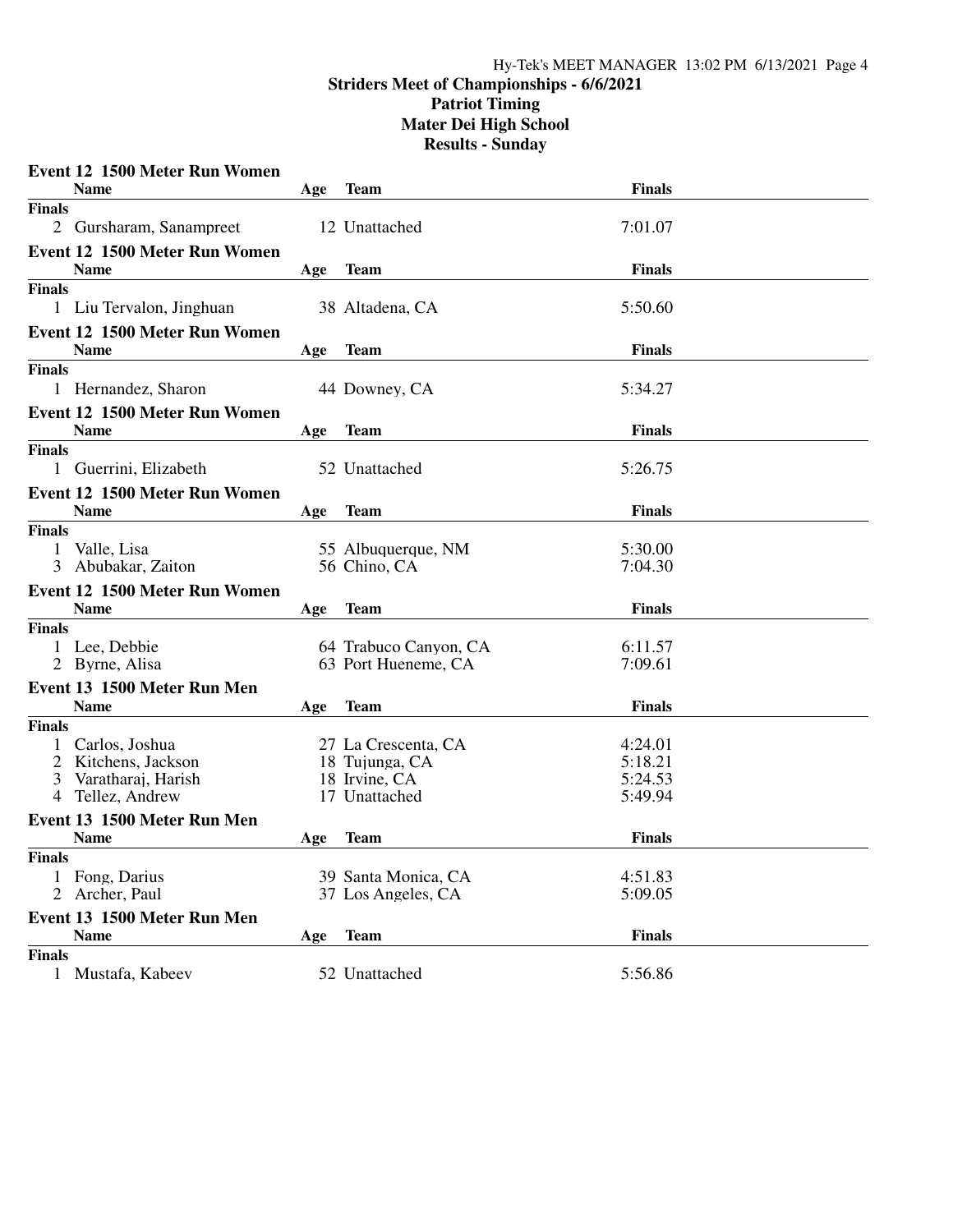#### **Striders Meet of Championships - 6/6/2021 Patriot Timing**

**Mater Dei High School**

|                | <b>Event 12 1500 Meter Run Women</b> |     |                                    |                    |
|----------------|--------------------------------------|-----|------------------------------------|--------------------|
|                | <b>Name</b>                          | Age | Team                               | <b>Finals</b>      |
| <b>Finals</b>  |                                      |     |                                    |                    |
|                | 2 Gursharam, Sanampreet              |     | 12 Unattached                      | 7:01.07            |
|                | <b>Event 12 1500 Meter Run Women</b> |     |                                    |                    |
|                | <b>Name</b>                          | Age | Team                               | <b>Finals</b>      |
| <b>Finals</b>  |                                      |     |                                    |                    |
|                | 1 Liu Tervalon, Jinghuan             |     | 38 Altadena, CA                    | 5:50.60            |
|                | <b>Event 12 1500 Meter Run Women</b> |     |                                    |                    |
|                | <b>Name</b>                          | Age | <b>Team</b>                        | <b>Finals</b>      |
| <b>Finals</b>  |                                      |     |                                    |                    |
|                | 1 Hernandez, Sharon                  |     | 44 Downey, CA                      | 5:34.27            |
|                | Event 12 1500 Meter Run Women        |     |                                    |                    |
|                | <b>Name</b>                          | Age | <b>Team</b>                        | <b>Finals</b>      |
| <b>Finals</b>  |                                      |     |                                    |                    |
|                | 1 Guerrini, Elizabeth                |     | 52 Unattached                      | 5:26.75            |
|                |                                      |     |                                    |                    |
|                | <b>Event 12 1500 Meter Run Women</b> |     |                                    |                    |
|                | <b>Name</b>                          | Age | <b>Team</b>                        | <b>Finals</b>      |
| <b>Finals</b>  |                                      |     |                                    |                    |
| 1<br>3         | Valle, Lisa<br>Abubakar, Zaiton      |     | 55 Albuquerque, NM<br>56 Chino, CA | 5:30.00<br>7:04.30 |
|                |                                      |     |                                    |                    |
|                | <b>Event 12 1500 Meter Run Women</b> |     |                                    |                    |
|                | <b>Name</b>                          | Age | <b>Team</b>                        | <b>Finals</b>      |
| <b>Finals</b>  |                                      |     |                                    |                    |
|                | 1 Lee, Debbie                        |     | 64 Trabuco Canyon, CA              | 6:11.57<br>7:09.61 |
|                | 2 Byrne, Alisa                       |     | 63 Port Hueneme, CA                |                    |
|                | Event 13 1500 Meter Run Men          |     |                                    |                    |
|                | <b>Name</b>                          | Age | <b>Team</b>                        | <b>Finals</b>      |
| <b>Finals</b>  |                                      |     |                                    |                    |
| 1              | Carlos, Joshua                       |     | 27 La Crescenta, CA                | 4:24.01            |
| $\overline{2}$ | Kitchens, Jackson                    |     | 18 Tujunga, CA                     | 5:18.21            |
| 3<br>4         | Varatharaj, Harish<br>Tellez, Andrew |     | 18 Irvine, CA<br>17 Unattached     | 5:24.53<br>5:49.94 |
|                |                                      |     |                                    |                    |
|                | Event 13 1500 Meter Run Men          |     |                                    |                    |
|                | <b>Name</b>                          | Age | <b>Team</b>                        | <b>Finals</b>      |
| <b>Finals</b>  |                                      |     |                                    |                    |
|                | Fong, Darius                         |     | 39 Santa Monica, CA                | 4:51.83            |
|                | Archer, Paul                         |     | 37 Los Angeles, CA                 | 5:09.05            |
|                | Event 13 1500 Meter Run Men          |     |                                    |                    |
|                | <b>Name</b>                          | Age | <b>Team</b>                        | <b>Finals</b>      |
| <b>Finals</b>  |                                      |     |                                    |                    |
|                | 1 Mustafa, Kabeev                    |     | 52 Unattached                      | 5:56.86            |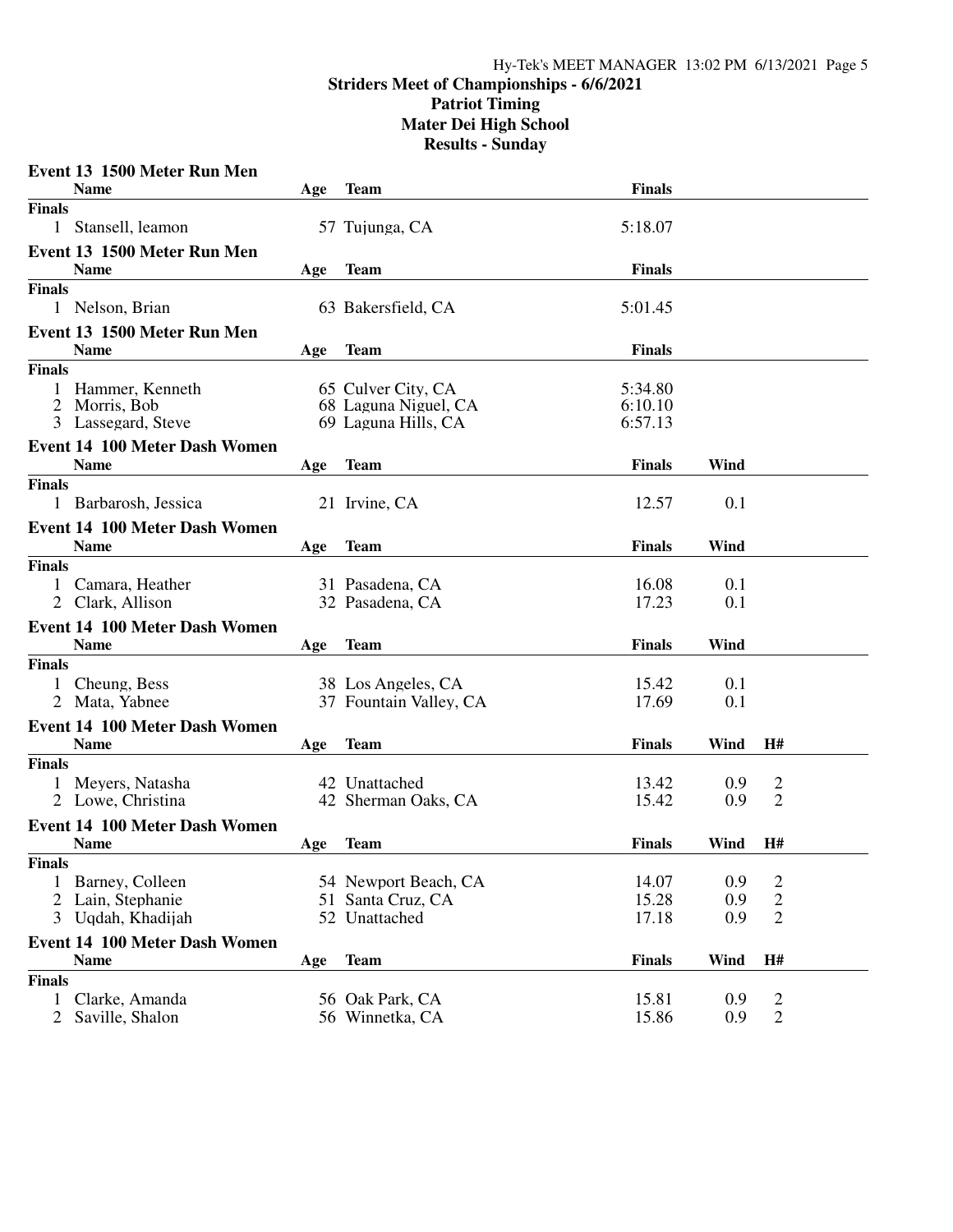|                               | Event 13 1500 Meter Run Men                         |     |                                    |               |      |                                  |  |
|-------------------------------|-----------------------------------------------------|-----|------------------------------------|---------------|------|----------------------------------|--|
|                               | <b>Name</b>                                         | Age | Team                               | <b>Finals</b> |      |                                  |  |
| <b>Finals</b>                 |                                                     |     |                                    |               |      |                                  |  |
|                               | 1 Stansell, leamon                                  |     | 57 Tujunga, CA                     | 5:18.07       |      |                                  |  |
|                               | Event 13 1500 Meter Run Men                         |     |                                    |               |      |                                  |  |
|                               | <b>Name</b>                                         | Age | <b>Team</b>                        | <b>Finals</b> |      |                                  |  |
| <b>Finals</b>                 |                                                     |     |                                    |               |      |                                  |  |
|                               | 1 Nelson, Brian                                     |     | 63 Bakersfield, CA                 | 5:01.45       |      |                                  |  |
|                               | Event 13 1500 Meter Run Men                         |     |                                    |               |      |                                  |  |
|                               | <b>Name</b>                                         | Age | Team                               | <b>Finals</b> |      |                                  |  |
| <b>Finals</b>                 |                                                     |     |                                    |               |      |                                  |  |
|                               | Hammer, Kenneth                                     |     | 65 Culver City, CA                 | 5:34.80       |      |                                  |  |
|                               | 2 Morris, Bob                                       |     | 68 Laguna Niguel, CA               | 6:10.10       |      |                                  |  |
|                               | 3 Lassegard, Steve                                  |     | 69 Laguna Hills, CA                | 6:57.13       |      |                                  |  |
|                               | <b>Event 14 100 Meter Dash Women</b>                |     |                                    |               |      |                                  |  |
|                               | <b>Name</b>                                         | Age | <b>Team</b>                        | <b>Finals</b> | Wind |                                  |  |
| <b>Finals</b>                 |                                                     |     |                                    |               |      |                                  |  |
|                               | 1 Barbarosh, Jessica                                |     | 21 Irvine, CA                      | 12.57         | 0.1  |                                  |  |
|                               | <b>Event 14 100 Meter Dash Women</b>                |     |                                    |               |      |                                  |  |
|                               | <b>Name</b>                                         | Age | <b>Team</b>                        | <b>Finals</b> | Wind |                                  |  |
| <b>Finals</b>                 |                                                     |     |                                    |               |      |                                  |  |
|                               | Camara, Heather                                     |     | 31 Pasadena, CA                    | 16.08         | 0.1  |                                  |  |
|                               | 2 Clark, Allison                                    |     | 32 Pasadena, CA                    | 17.23         | 0.1  |                                  |  |
|                               | <b>Event 14 100 Meter Dash Women</b>                |     |                                    |               |      |                                  |  |
|                               | <b>Name</b>                                         | Age | <b>Team</b>                        | <b>Finals</b> | Wind |                                  |  |
| <b>Finals</b>                 |                                                     |     |                                    |               |      |                                  |  |
|                               | 1 Cheung, Bess                                      |     | 38 Los Angeles, CA                 | 15.42         | 0.1  |                                  |  |
|                               | 2 Mata, Yabnee                                      |     | 37 Fountain Valley, CA             | 17.69         | 0.1  |                                  |  |
|                               | <b>Event 14 100 Meter Dash Women</b>                |     |                                    |               |      |                                  |  |
|                               | <b>Name</b>                                         | Age | <b>Team</b>                        | <b>Finals</b> | Wind | H#                               |  |
| <b>Finals</b>                 |                                                     |     |                                    |               |      |                                  |  |
|                               | 1 Meyers, Natasha                                   |     | 42 Unattached                      | 13.42         | 0.9  | $\overline{2}$                   |  |
|                               | 2 Lowe, Christina                                   |     | 42 Sherman Oaks, CA                | 15.42         | 0.9  | 2                                |  |
|                               |                                                     |     |                                    |               |      |                                  |  |
|                               | <b>Event 14 100 Meter Dash Women</b><br><b>Name</b> |     | <b>Team</b>                        | <b>Finals</b> | Wind | H#                               |  |
| <b>Finals</b>                 |                                                     | Age |                                    |               |      |                                  |  |
|                               |                                                     |     | 54 Newport Beach, CA               | 14.07         | 0.9  |                                  |  |
| 1<br>$\overline{2}$           | Barney, Colleen<br>Lain, Stephanie                  |     | 51 Santa Cruz, CA                  | 15.28         | 0.9  | 2<br>$\overline{c}$              |  |
| 3                             | Uqdah, Khadijah                                     |     | 52 Unattached                      | 17.18         | 0.9  | $\overline{2}$                   |  |
|                               |                                                     |     |                                    |               |      |                                  |  |
|                               | <b>Event 14 100 Meter Dash Women</b><br><b>Name</b> |     | <b>Team</b>                        | <b>Finals</b> | Wind | H#                               |  |
|                               |                                                     | Age |                                    |               |      |                                  |  |
| <b>Finals</b><br>$\mathbf{1}$ | Clarke, Amanda                                      |     |                                    | 15.81         | 0.9  |                                  |  |
| $\overline{2}$                | Saville, Shalon                                     |     | 56 Oak Park, CA<br>56 Winnetka, CA | 15.86         | 0.9  | $\overline{c}$<br>$\overline{2}$ |  |
|                               |                                                     |     |                                    |               |      |                                  |  |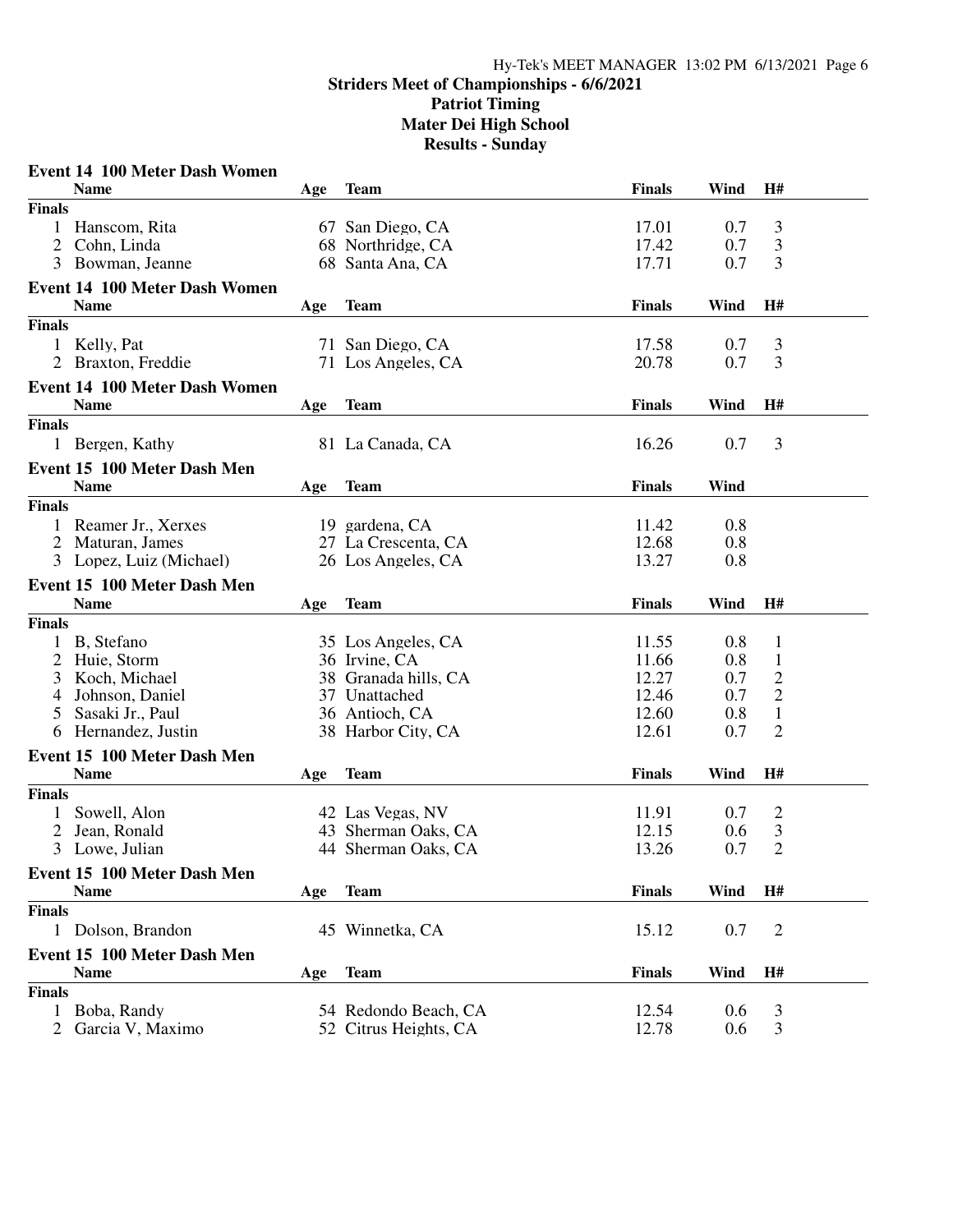|                                  | <b>Event 14 100 Meter Dash Women</b> |     |                                            |                |            |                                  |  |
|----------------------------------|--------------------------------------|-----|--------------------------------------------|----------------|------------|----------------------------------|--|
|                                  | <b>Name</b>                          | Age | Team                                       | <b>Finals</b>  | Wind       | H#                               |  |
| <b>Finals</b>                    |                                      |     |                                            |                |            |                                  |  |
|                                  | Hanscom, Rita                        |     | 67 San Diego, CA                           | 17.01          | 0.7        | 3                                |  |
| 2                                | Cohn, Linda                          |     | 68 Northridge, CA                          | 17.42          | 0.7        | 3                                |  |
| 3                                | Bowman, Jeanne                       |     | 68 Santa Ana, CA                           | 17.71          | 0.7        | 3                                |  |
|                                  | <b>Event 14 100 Meter Dash Women</b> |     |                                            |                |            |                                  |  |
|                                  | <b>Name</b>                          | Age | <b>Team</b>                                | <b>Finals</b>  | Wind       | H#                               |  |
| <b>Finals</b>                    |                                      |     |                                            |                |            |                                  |  |
|                                  | 1 Kelly, Pat                         |     | 71 San Diego, CA                           | 17.58          | 0.7        | 3                                |  |
|                                  | 2 Braxton, Freddie                   |     | 71 Los Angeles, CA                         | 20.78          | 0.7        | 3                                |  |
|                                  | <b>Event 14 100 Meter Dash Women</b> |     |                                            |                |            |                                  |  |
|                                  | <b>Name</b>                          | Age | <b>Team</b>                                | <b>Finals</b>  | Wind       | H#                               |  |
| <b>Finals</b>                    |                                      |     |                                            |                |            |                                  |  |
|                                  | 1 Bergen, Kathy                      |     | 81 La Canada, CA                           | 16.26          | 0.7        | 3                                |  |
|                                  | Event 15 100 Meter Dash Men          |     |                                            |                |            |                                  |  |
|                                  | <b>Name</b>                          | Age | <b>Team</b>                                | <b>Finals</b>  | Wind       |                                  |  |
| <b>Finals</b>                    |                                      |     |                                            |                |            |                                  |  |
|                                  | Reamer Jr., Xerxes                   |     | 19 gardena, CA                             | 11.42          | 0.8        |                                  |  |
| 2                                | Maturan, James                       |     | 27 La Crescenta, CA                        | 12.68          | 0.8        |                                  |  |
|                                  | 3 Lopez, Luiz (Michael)              |     | 26 Los Angeles, CA                         | 13.27          | 0.8        |                                  |  |
|                                  |                                      |     |                                            |                |            |                                  |  |
|                                  | Event 15 100 Meter Dash Men          |     |                                            |                |            |                                  |  |
|                                  | <b>Name</b>                          | Age | <b>Team</b>                                | <b>Finals</b>  | Wind       | H#                               |  |
| <b>Finals</b>                    |                                      |     |                                            |                |            |                                  |  |
| 2                                | B, Stefano                           |     | 35 Los Angeles, CA<br>36 Irvine, CA        | 11.55<br>11.66 | 0.8<br>0.8 | $\mathbf{1}$                     |  |
| 3                                | Huie, Storm<br>Koch, Michael         |     | 38 Granada hills, CA                       | 12.27          | 0.7        | $\mathbf{1}$<br>$\mathbf{2}$     |  |
| 4                                | Johnson, Daniel                      |     | 37 Unattached                              | 12.46          | 0.7        | $\mathbf{2}$                     |  |
| 5                                | Sasaki Jr., Paul                     |     | 36 Antioch, CA                             | 12.60          | 0.8        | $\mathbf{1}$                     |  |
| 6                                | Hernandez, Justin                    |     | 38 Harbor City, CA                         | 12.61          | 0.7        | $\overline{2}$                   |  |
|                                  |                                      |     |                                            |                |            |                                  |  |
|                                  | Event 15 100 Meter Dash Men          |     |                                            |                |            |                                  |  |
| <b>Finals</b>                    | <b>Name</b>                          | Age | <b>Team</b>                                | <b>Finals</b>  | Wind       | H#                               |  |
|                                  |                                      |     |                                            |                |            |                                  |  |
|                                  | Sowell, Alon                         |     | 42 Las Vegas, NV                           | 11.91<br>12.15 | 0.7<br>0.6 | $\overline{2}$                   |  |
| $\overline{2}$<br>$\mathfrak{Z}$ | Jean, Ronald<br>Lowe, Julian         |     | 43 Sherman Oaks, CA<br>44 Sherman Oaks, CA | 13.26          | 0.7        | $\mathfrak{Z}$<br>$\overline{2}$ |  |
|                                  |                                      |     |                                            |                |            |                                  |  |
|                                  | Event 15 100 Meter Dash Men          |     |                                            |                |            |                                  |  |
|                                  | <b>Name</b>                          | Age | <b>Team</b>                                | <b>Finals</b>  | Wind       | H#                               |  |
| <b>Finals</b>                    |                                      |     |                                            |                |            |                                  |  |
|                                  | 1 Dolson, Brandon                    |     | 45 Winnetka, CA                            | 15.12          | 0.7        | $\overline{2}$                   |  |
|                                  | Event 15 100 Meter Dash Men          |     |                                            |                |            |                                  |  |
|                                  | <b>Name</b>                          | Age | <b>Team</b>                                | <b>Finals</b>  | Wind       | H#                               |  |
| <b>Finals</b>                    |                                      |     |                                            |                |            |                                  |  |
|                                  | Boba, Randy                          |     | 54 Redondo Beach, CA                       | 12.54          | 0.6        | 3                                |  |
|                                  | Garcia V, Maximo                     |     | 52 Citrus Heights, CA                      | 12.78          | 0.6        | 3                                |  |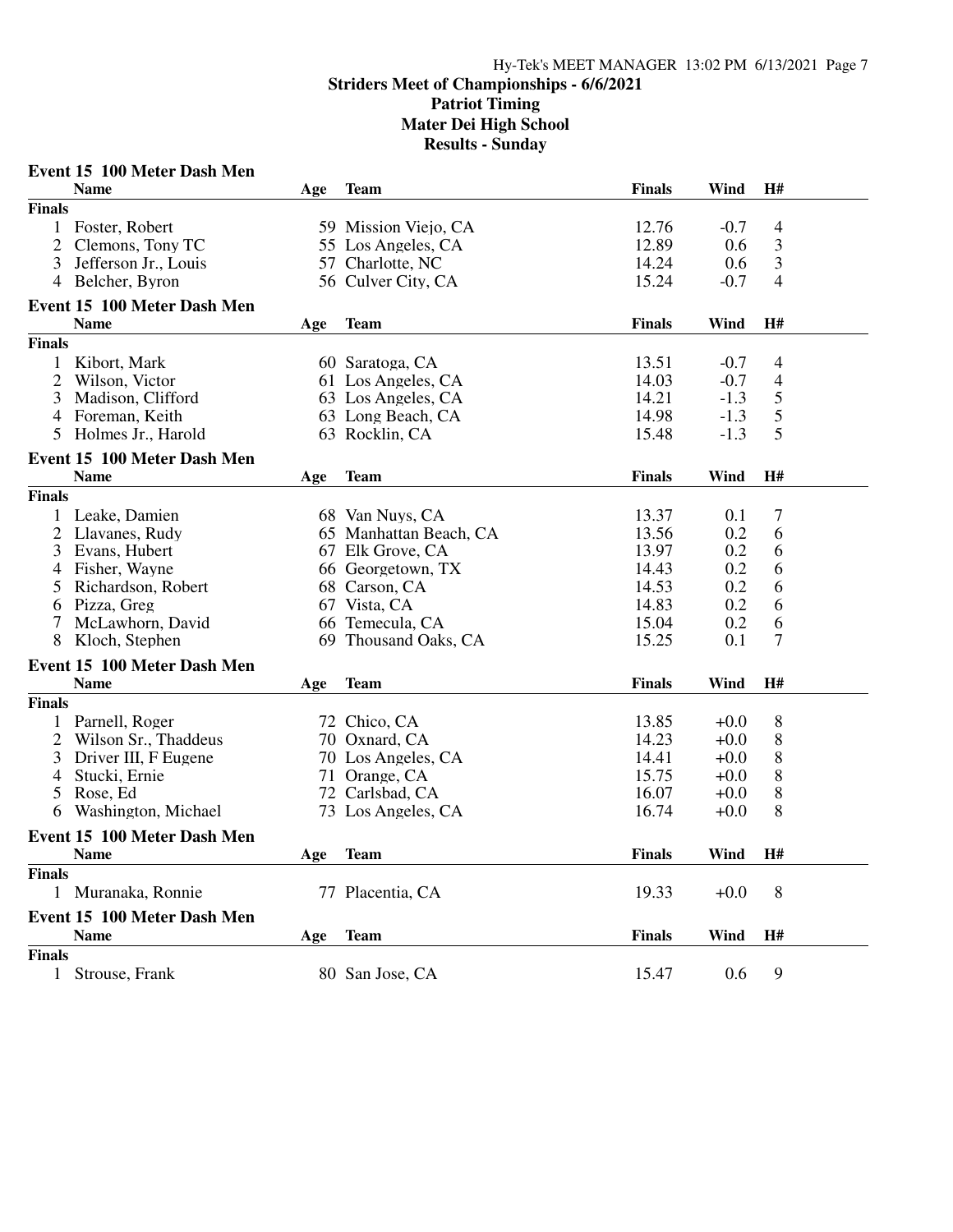| H#<br><b>Name</b><br><b>Finals</b><br>Wind<br><b>Team</b><br>Age<br><b>Finals</b><br>12.76<br>1 Foster, Robert<br>59 Mission Viejo, CA<br>$-0.7$<br>$\overline{4}$<br>$\mathfrak{Z}$<br>12.89<br>2<br>Clemons, Tony TC<br>55 Los Angeles, CA<br>0.6<br>3<br>14.24<br>3<br>Jefferson Jr., Louis<br>57 Charlotte, NC<br>0.6<br>15.24<br>4<br>4 Belcher, Byron<br>56 Culver City, CA<br>$-0.7$<br>Event 15 100 Meter Dash Men<br><b>Name</b><br><b>Finals</b><br>Wind<br>H#<br><b>Team</b><br>Age<br><b>Finals</b><br>Kibort, Mark<br>60 Saratoga, CA<br>13.51<br>$-0.7$<br>$\overline{4}$<br>14.03<br>2<br>Wilson, Victor<br>61 Los Angeles, CA<br>$-0.7$<br>4<br>5<br>3<br>Madison, Clifford<br>14.21<br>63 Los Angeles, CA<br>$-1.3$<br>5<br>14.98<br>Foreman, Keith<br>$-1.3$<br>4<br>63 Long Beach, CA<br>5<br>Holmes Jr., Harold<br>15.48<br>63 Rocklin, CA<br>$-1.3$<br>5<br>Event 15 100 Meter Dash Men<br><b>Name</b><br><b>Finals</b><br>Wind<br>H#<br><b>Team</b><br>Age<br><b>Finals</b><br>13.37<br>7<br>Leake, Damien<br>68 Van Nuys, CA<br>0.1<br>1<br>$\overline{2}$<br>13.56<br>0.2<br>6<br>Llavanes, Rudy<br>65 Manhattan Beach, CA<br>13.97<br>0.2<br>3<br>Evans, Hubert<br>67 Elk Grove, CA<br>6<br>0.2<br>Fisher, Wayne<br>66 Georgetown, TX<br>14.43<br>6<br>4<br>0.2<br>Richardson, Robert<br>68 Carson, CA<br>14.53<br>6<br>5<br>0.2<br>6<br>Pizza, Greg<br>67 Vista, CA<br>14.83<br>6<br>0.2<br>6<br>7<br>McLawhorn, David<br>66 Temecula, CA<br>15.04 |  |
|------------------------------------------------------------------------------------------------------------------------------------------------------------------------------------------------------------------------------------------------------------------------------------------------------------------------------------------------------------------------------------------------------------------------------------------------------------------------------------------------------------------------------------------------------------------------------------------------------------------------------------------------------------------------------------------------------------------------------------------------------------------------------------------------------------------------------------------------------------------------------------------------------------------------------------------------------------------------------------------------------------------------------------------------------------------------------------------------------------------------------------------------------------------------------------------------------------------------------------------------------------------------------------------------------------------------------------------------------------------------------------------------------------------------------------------------------------------------------|--|
|                                                                                                                                                                                                                                                                                                                                                                                                                                                                                                                                                                                                                                                                                                                                                                                                                                                                                                                                                                                                                                                                                                                                                                                                                                                                                                                                                                                                                                                                              |  |
|                                                                                                                                                                                                                                                                                                                                                                                                                                                                                                                                                                                                                                                                                                                                                                                                                                                                                                                                                                                                                                                                                                                                                                                                                                                                                                                                                                                                                                                                              |  |
|                                                                                                                                                                                                                                                                                                                                                                                                                                                                                                                                                                                                                                                                                                                                                                                                                                                                                                                                                                                                                                                                                                                                                                                                                                                                                                                                                                                                                                                                              |  |
|                                                                                                                                                                                                                                                                                                                                                                                                                                                                                                                                                                                                                                                                                                                                                                                                                                                                                                                                                                                                                                                                                                                                                                                                                                                                                                                                                                                                                                                                              |  |
|                                                                                                                                                                                                                                                                                                                                                                                                                                                                                                                                                                                                                                                                                                                                                                                                                                                                                                                                                                                                                                                                                                                                                                                                                                                                                                                                                                                                                                                                              |  |
|                                                                                                                                                                                                                                                                                                                                                                                                                                                                                                                                                                                                                                                                                                                                                                                                                                                                                                                                                                                                                                                                                                                                                                                                                                                                                                                                                                                                                                                                              |  |
|                                                                                                                                                                                                                                                                                                                                                                                                                                                                                                                                                                                                                                                                                                                                                                                                                                                                                                                                                                                                                                                                                                                                                                                                                                                                                                                                                                                                                                                                              |  |
|                                                                                                                                                                                                                                                                                                                                                                                                                                                                                                                                                                                                                                                                                                                                                                                                                                                                                                                                                                                                                                                                                                                                                                                                                                                                                                                                                                                                                                                                              |  |
|                                                                                                                                                                                                                                                                                                                                                                                                                                                                                                                                                                                                                                                                                                                                                                                                                                                                                                                                                                                                                                                                                                                                                                                                                                                                                                                                                                                                                                                                              |  |
|                                                                                                                                                                                                                                                                                                                                                                                                                                                                                                                                                                                                                                                                                                                                                                                                                                                                                                                                                                                                                                                                                                                                                                                                                                                                                                                                                                                                                                                                              |  |
|                                                                                                                                                                                                                                                                                                                                                                                                                                                                                                                                                                                                                                                                                                                                                                                                                                                                                                                                                                                                                                                                                                                                                                                                                                                                                                                                                                                                                                                                              |  |
|                                                                                                                                                                                                                                                                                                                                                                                                                                                                                                                                                                                                                                                                                                                                                                                                                                                                                                                                                                                                                                                                                                                                                                                                                                                                                                                                                                                                                                                                              |  |
|                                                                                                                                                                                                                                                                                                                                                                                                                                                                                                                                                                                                                                                                                                                                                                                                                                                                                                                                                                                                                                                                                                                                                                                                                                                                                                                                                                                                                                                                              |  |
|                                                                                                                                                                                                                                                                                                                                                                                                                                                                                                                                                                                                                                                                                                                                                                                                                                                                                                                                                                                                                                                                                                                                                                                                                                                                                                                                                                                                                                                                              |  |
|                                                                                                                                                                                                                                                                                                                                                                                                                                                                                                                                                                                                                                                                                                                                                                                                                                                                                                                                                                                                                                                                                                                                                                                                                                                                                                                                                                                                                                                                              |  |
|                                                                                                                                                                                                                                                                                                                                                                                                                                                                                                                                                                                                                                                                                                                                                                                                                                                                                                                                                                                                                                                                                                                                                                                                                                                                                                                                                                                                                                                                              |  |
|                                                                                                                                                                                                                                                                                                                                                                                                                                                                                                                                                                                                                                                                                                                                                                                                                                                                                                                                                                                                                                                                                                                                                                                                                                                                                                                                                                                                                                                                              |  |
|                                                                                                                                                                                                                                                                                                                                                                                                                                                                                                                                                                                                                                                                                                                                                                                                                                                                                                                                                                                                                                                                                                                                                                                                                                                                                                                                                                                                                                                                              |  |
|                                                                                                                                                                                                                                                                                                                                                                                                                                                                                                                                                                                                                                                                                                                                                                                                                                                                                                                                                                                                                                                                                                                                                                                                                                                                                                                                                                                                                                                                              |  |
|                                                                                                                                                                                                                                                                                                                                                                                                                                                                                                                                                                                                                                                                                                                                                                                                                                                                                                                                                                                                                                                                                                                                                                                                                                                                                                                                                                                                                                                                              |  |
|                                                                                                                                                                                                                                                                                                                                                                                                                                                                                                                                                                                                                                                                                                                                                                                                                                                                                                                                                                                                                                                                                                                                                                                                                                                                                                                                                                                                                                                                              |  |
|                                                                                                                                                                                                                                                                                                                                                                                                                                                                                                                                                                                                                                                                                                                                                                                                                                                                                                                                                                                                                                                                                                                                                                                                                                                                                                                                                                                                                                                                              |  |
|                                                                                                                                                                                                                                                                                                                                                                                                                                                                                                                                                                                                                                                                                                                                                                                                                                                                                                                                                                                                                                                                                                                                                                                                                                                                                                                                                                                                                                                                              |  |
|                                                                                                                                                                                                                                                                                                                                                                                                                                                                                                                                                                                                                                                                                                                                                                                                                                                                                                                                                                                                                                                                                                                                                                                                                                                                                                                                                                                                                                                                              |  |
|                                                                                                                                                                                                                                                                                                                                                                                                                                                                                                                                                                                                                                                                                                                                                                                                                                                                                                                                                                                                                                                                                                                                                                                                                                                                                                                                                                                                                                                                              |  |
| 7<br>15.25<br>8<br>0.1                                                                                                                                                                                                                                                                                                                                                                                                                                                                                                                                                                                                                                                                                                                                                                                                                                                                                                                                                                                                                                                                                                                                                                                                                                                                                                                                                                                                                                                       |  |
| Kloch, Stephen<br>69 Thousand Oaks, CA                                                                                                                                                                                                                                                                                                                                                                                                                                                                                                                                                                                                                                                                                                                                                                                                                                                                                                                                                                                                                                                                                                                                                                                                                                                                                                                                                                                                                                       |  |
| Event 15 100 Meter Dash Men                                                                                                                                                                                                                                                                                                                                                                                                                                                                                                                                                                                                                                                                                                                                                                                                                                                                                                                                                                                                                                                                                                                                                                                                                                                                                                                                                                                                                                                  |  |
| H#<br><b>Name</b><br><b>Finals</b><br>Wind<br><b>Team</b><br>Age                                                                                                                                                                                                                                                                                                                                                                                                                                                                                                                                                                                                                                                                                                                                                                                                                                                                                                                                                                                                                                                                                                                                                                                                                                                                                                                                                                                                             |  |
| <b>Finals</b>                                                                                                                                                                                                                                                                                                                                                                                                                                                                                                                                                                                                                                                                                                                                                                                                                                                                                                                                                                                                                                                                                                                                                                                                                                                                                                                                                                                                                                                                |  |
| 13.85<br>8<br>Parnell, Roger<br>72 Chico, CA<br>$+0.0$                                                                                                                                                                                                                                                                                                                                                                                                                                                                                                                                                                                                                                                                                                                                                                                                                                                                                                                                                                                                                                                                                                                                                                                                                                                                                                                                                                                                                       |  |
| 8<br>$\overline{2}$<br>Wilson Sr., Thaddeus<br>14.23<br>70 Oxnard, CA<br>$+0.0$                                                                                                                                                                                                                                                                                                                                                                                                                                                                                                                                                                                                                                                                                                                                                                                                                                                                                                                                                                                                                                                                                                                                                                                                                                                                                                                                                                                              |  |
| 14.41<br>8<br>3<br>Driver III, F Eugene<br>70 Los Angeles, CA<br>$+0.0$                                                                                                                                                                                                                                                                                                                                                                                                                                                                                                                                                                                                                                                                                                                                                                                                                                                                                                                                                                                                                                                                                                                                                                                                                                                                                                                                                                                                      |  |
| 15.75<br>8<br>Stucki, Ernie<br>71 Orange, CA<br>$+0.0$<br>4                                                                                                                                                                                                                                                                                                                                                                                                                                                                                                                                                                                                                                                                                                                                                                                                                                                                                                                                                                                                                                                                                                                                                                                                                                                                                                                                                                                                                  |  |
| Rose, Ed<br>16.07<br>8<br>5<br>72 Carlsbad, CA<br>$+0.0$                                                                                                                                                                                                                                                                                                                                                                                                                                                                                                                                                                                                                                                                                                                                                                                                                                                                                                                                                                                                                                                                                                                                                                                                                                                                                                                                                                                                                     |  |
| 8<br>Washington, Michael<br>73 Los Angeles, CA<br>16.74<br>$+0.0$<br>6                                                                                                                                                                                                                                                                                                                                                                                                                                                                                                                                                                                                                                                                                                                                                                                                                                                                                                                                                                                                                                                                                                                                                                                                                                                                                                                                                                                                       |  |
|                                                                                                                                                                                                                                                                                                                                                                                                                                                                                                                                                                                                                                                                                                                                                                                                                                                                                                                                                                                                                                                                                                                                                                                                                                                                                                                                                                                                                                                                              |  |
| Event 15 100 Meter Dash Men                                                                                                                                                                                                                                                                                                                                                                                                                                                                                                                                                                                                                                                                                                                                                                                                                                                                                                                                                                                                                                                                                                                                                                                                                                                                                                                                                                                                                                                  |  |
| <b>Name</b><br><b>Finals</b><br>Wind<br>H#<br><b>Team</b><br>Age                                                                                                                                                                                                                                                                                                                                                                                                                                                                                                                                                                                                                                                                                                                                                                                                                                                                                                                                                                                                                                                                                                                                                                                                                                                                                                                                                                                                             |  |
| <b>Finals</b>                                                                                                                                                                                                                                                                                                                                                                                                                                                                                                                                                                                                                                                                                                                                                                                                                                                                                                                                                                                                                                                                                                                                                                                                                                                                                                                                                                                                                                                                |  |
| 77 Placentia, CA<br>8<br>Muranaka, Ronnie<br>19.33<br>$+0.0$<br>1                                                                                                                                                                                                                                                                                                                                                                                                                                                                                                                                                                                                                                                                                                                                                                                                                                                                                                                                                                                                                                                                                                                                                                                                                                                                                                                                                                                                            |  |
| Event 15 100 Meter Dash Men                                                                                                                                                                                                                                                                                                                                                                                                                                                                                                                                                                                                                                                                                                                                                                                                                                                                                                                                                                                                                                                                                                                                                                                                                                                                                                                                                                                                                                                  |  |
| Wind<br>H#<br><b>Name</b><br><b>Team</b><br><b>Finals</b><br>Age                                                                                                                                                                                                                                                                                                                                                                                                                                                                                                                                                                                                                                                                                                                                                                                                                                                                                                                                                                                                                                                                                                                                                                                                                                                                                                                                                                                                             |  |
| <b>Finals</b>                                                                                                                                                                                                                                                                                                                                                                                                                                                                                                                                                                                                                                                                                                                                                                                                                                                                                                                                                                                                                                                                                                                                                                                                                                                                                                                                                                                                                                                                |  |
| Strouse, Frank<br>80 San Jose, CA<br>15.47<br>$\mathbf{1}$<br>0.6<br>9                                                                                                                                                                                                                                                                                                                                                                                                                                                                                                                                                                                                                                                                                                                                                                                                                                                                                                                                                                                                                                                                                                                                                                                                                                                                                                                                                                                                       |  |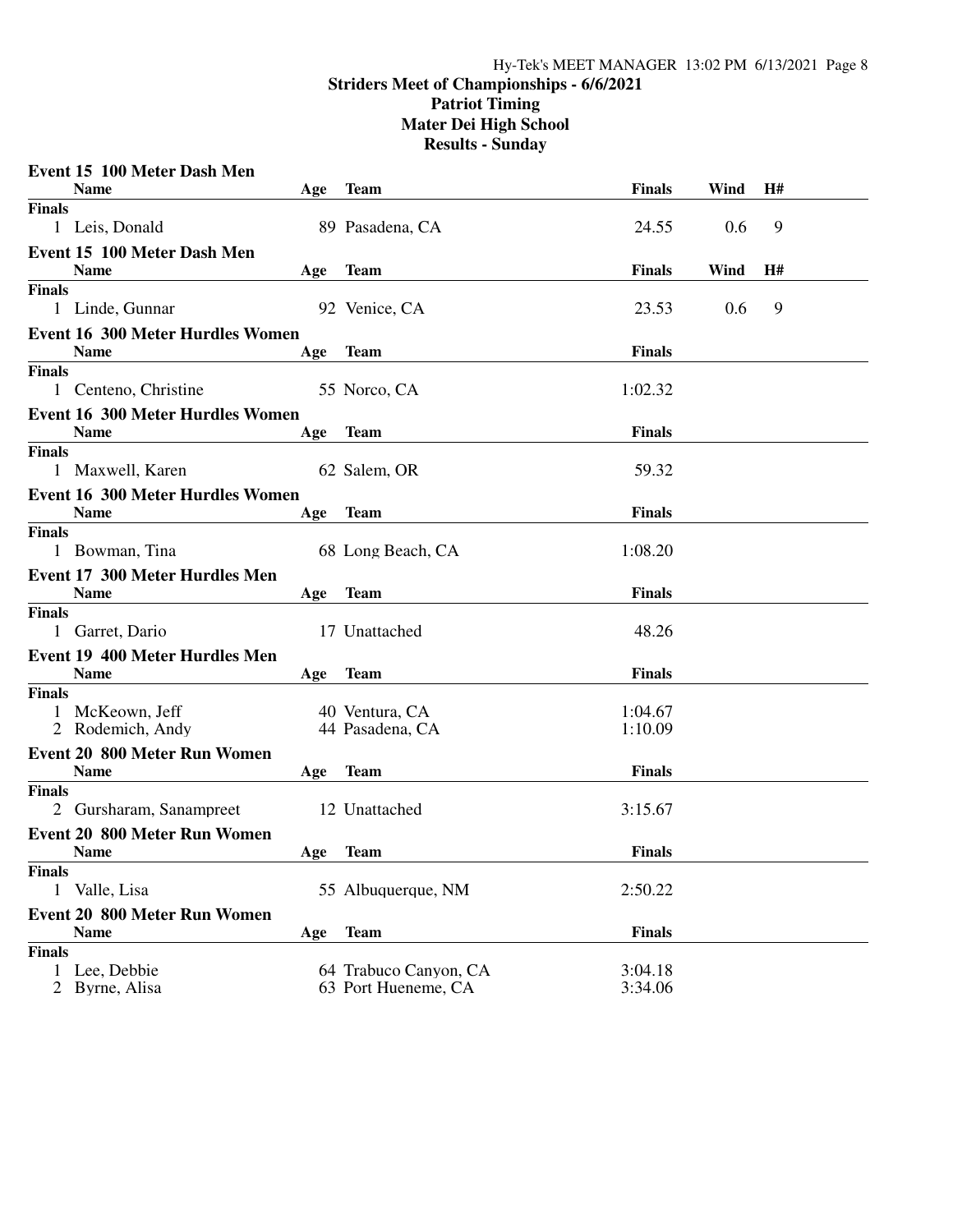#### **Striders Meet of Championships - 6/6/2021**

**Patriot Timing**

**Mater Dei High School**

|               | Event 15 100 Meter Dash Men                            |     |                       |               |      |    |  |
|---------------|--------------------------------------------------------|-----|-----------------------|---------------|------|----|--|
|               | <b>Name</b>                                            | Age | Team                  | <b>Finals</b> | Wind | H# |  |
| <b>Finals</b> |                                                        |     |                       |               |      |    |  |
|               | 1 Leis, Donald                                         |     | 89 Pasadena, CA       | 24.55         | 0.6  | 9  |  |
|               | Event 15 100 Meter Dash Men<br><b>Name</b>             | Age | Team                  | <b>Finals</b> | Wind | H# |  |
| <b>Finals</b> |                                                        |     |                       |               |      |    |  |
|               | 1 Linde, Gunnar                                        |     | 92 Venice, CA         | 23.53         | 0.6  | 9  |  |
|               | <b>Event 16 300 Meter Hurdles Women</b>                |     |                       |               |      |    |  |
|               | <b>Name</b>                                            | Age | Team                  | <b>Finals</b> |      |    |  |
| <b>Finals</b> |                                                        |     |                       |               |      |    |  |
|               | 1 Centeno, Christine                                   |     | 55 Norco, CA          | 1:02.32       |      |    |  |
|               | <b>Event 16 300 Meter Hurdles Women</b>                |     |                       |               |      |    |  |
|               | <b>Name</b>                                            | Age | <b>Team</b>           | <b>Finals</b> |      |    |  |
| <b>Finals</b> |                                                        |     |                       |               |      |    |  |
|               | 1 Maxwell, Karen                                       |     | 62 Salem, OR          | 59.32         |      |    |  |
|               | <b>Event 16 300 Meter Hurdles Women</b><br><b>Name</b> | Age | Team                  | <b>Finals</b> |      |    |  |
| <b>Finals</b> |                                                        |     |                       |               |      |    |  |
|               | 1 Bowman, Tina                                         |     | 68 Long Beach, CA     | 1:08.20       |      |    |  |
|               | <b>Event 17 300 Meter Hurdles Men</b>                  |     |                       |               |      |    |  |
|               | <b>Name</b>                                            | Age | <b>Team</b>           | <b>Finals</b> |      |    |  |
| <b>Finals</b> |                                                        |     |                       |               |      |    |  |
|               | 1 Garret, Dario                                        |     | 17 Unattached         | 48.26         |      |    |  |
|               | <b>Event 19 400 Meter Hurdles Men</b>                  |     |                       |               |      |    |  |
|               | <b>Name</b>                                            | Age | <b>Team</b>           | <b>Finals</b> |      |    |  |
| <b>Finals</b> |                                                        |     |                       |               |      |    |  |
|               | 1 McKeown, Jeff                                        |     | 40 Ventura, CA        | 1:04.67       |      |    |  |
|               | 2 Rodemich, Andy                                       |     | 44 Pasadena, CA       | 1:10.09       |      |    |  |
|               | <b>Event 20 800 Meter Run Women</b>                    |     |                       |               |      |    |  |
|               | <b>Name</b>                                            | Age | <b>Team</b>           | <b>Finals</b> |      |    |  |
| <b>Finals</b> | 2 Gursharam, Sanampreet                                |     | 12 Unattached         | 3:15.67       |      |    |  |
|               | <b>Event 20 800 Meter Run Women</b>                    |     |                       |               |      |    |  |
|               | <b>Name</b>                                            | Age | <b>Team</b>           | <b>Finals</b> |      |    |  |
| <b>Finals</b> |                                                        |     |                       |               |      |    |  |
| $\mathbf{1}$  | Valle, Lisa                                            |     | 55 Albuquerque, NM    | 2:50.22       |      |    |  |
|               | <b>Event 20 800 Meter Run Women</b>                    |     |                       |               |      |    |  |
|               | <b>Name</b>                                            | Age | <b>Team</b>           | <b>Finals</b> |      |    |  |
| <b>Finals</b> |                                                        |     |                       |               |      |    |  |
| 1             | Lee, Debbie                                            |     | 64 Trabuco Canyon, CA | 3:04.18       |      |    |  |
|               | 2 Byrne, Alisa                                         |     | 63 Port Hueneme, CA   | 3:34.06       |      |    |  |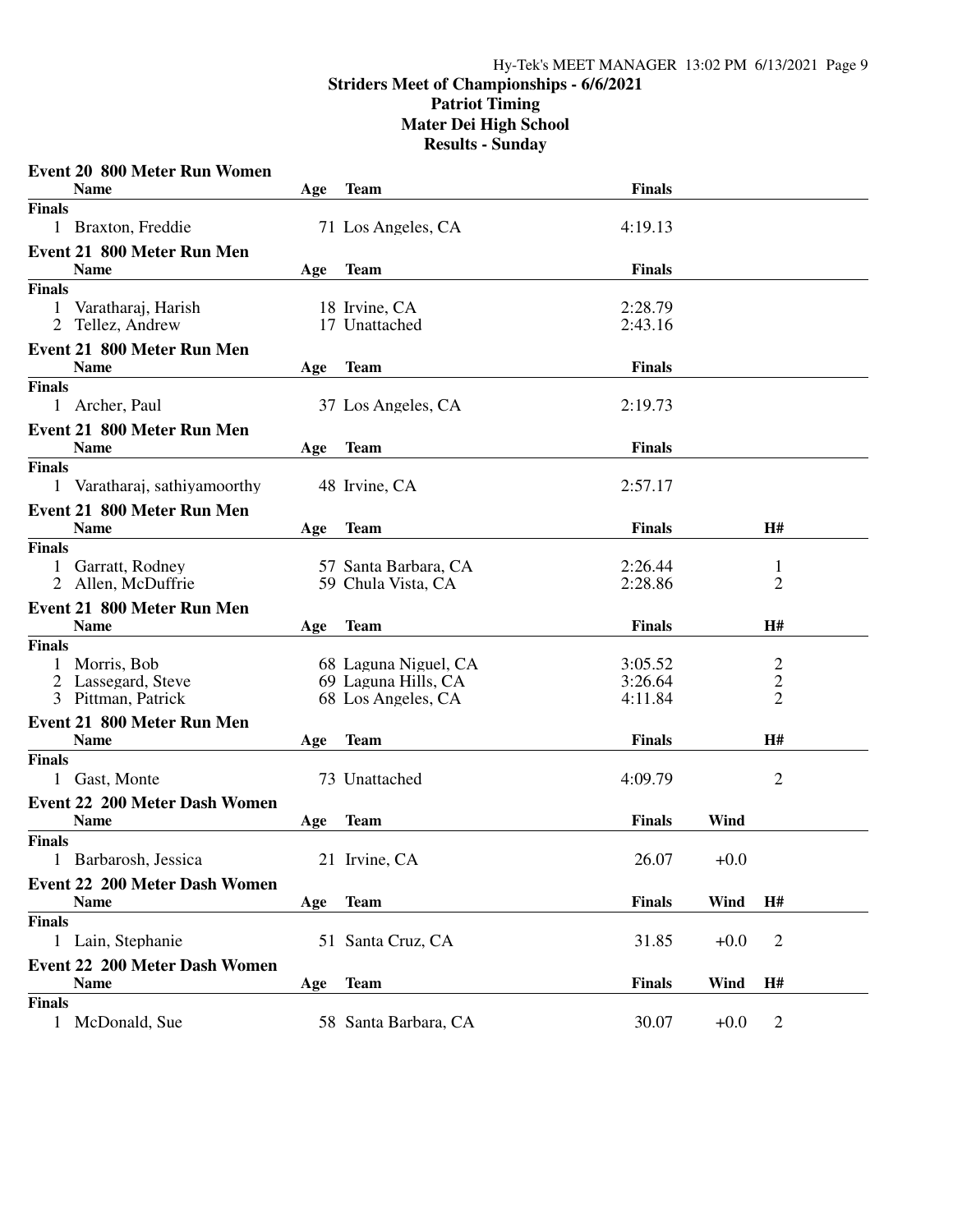|               | <b>Event 20 800 Meter Run Women</b>  |     |                      |               |        |                |  |
|---------------|--------------------------------------|-----|----------------------|---------------|--------|----------------|--|
|               | <b>Name</b>                          | Age | Team                 | Finals        |        |                |  |
| <b>Finals</b> |                                      |     |                      |               |        |                |  |
|               | 1 Braxton, Freddie                   |     | 71 Los Angeles, CA   | 4:19.13       |        |                |  |
|               | <b>Event 21 800 Meter Run Men</b>    |     |                      |               |        |                |  |
|               | <b>Name</b>                          | Age | <b>Team</b>          | <b>Finals</b> |        |                |  |
| <b>Finals</b> |                                      |     |                      |               |        |                |  |
| 1             | Varatharaj, Harish                   |     | 18 Irvine, CA        | 2:28.79       |        |                |  |
|               | 2 Tellez, Andrew                     |     | 17 Unattached        | 2:43.16       |        |                |  |
|               | Event 21 800 Meter Run Men           |     |                      |               |        |                |  |
|               | <b>Name</b>                          | Age | <b>Team</b>          | <b>Finals</b> |        |                |  |
| <b>Finals</b> |                                      |     |                      |               |        |                |  |
|               | 1 Archer, Paul                       |     | 37 Los Angeles, CA   | 2:19.73       |        |                |  |
|               | <b>Event 21 800 Meter Run Men</b>    |     |                      |               |        |                |  |
|               | <b>Name</b>                          | Age | <b>Team</b>          | <b>Finals</b> |        |                |  |
| <b>Finals</b> |                                      |     |                      |               |        |                |  |
|               | 1 Varatharaj, sathiyamoorthy         |     | 48 Irvine, CA        | 2:57.17       |        |                |  |
|               | Event 21 800 Meter Run Men           |     |                      |               |        |                |  |
|               | <b>Name</b>                          | Age | <b>Team</b>          | <b>Finals</b> |        | H#             |  |
| <b>Finals</b> |                                      |     |                      |               |        |                |  |
| $\mathbf{1}$  | Garratt, Rodney                      |     | 57 Santa Barbara, CA | 2:26.44       |        | 1              |  |
|               | 2 Allen, McDuffrie                   |     | 59 Chula Vista, CA   | 2:28.86       |        | 2              |  |
|               | Event 21 800 Meter Run Men           |     |                      |               |        |                |  |
|               | <b>Name</b>                          | Age | <b>Team</b>          | <b>Finals</b> |        | H#             |  |
| <b>Finals</b> |                                      |     |                      |               |        |                |  |
|               | Morris, Bob                          |     | 68 Laguna Niguel, CA | 3:05.52       |        | $\overline{c}$ |  |
|               | 2 Lassegard, Steve                   |     | 69 Laguna Hills, CA  | 3:26.64       |        | $\overline{c}$ |  |
|               | 3 Pittman, Patrick                   |     | 68 Los Angeles, CA   | 4:11.84       |        | $\overline{2}$ |  |
|               | <b>Event 21 800 Meter Run Men</b>    |     |                      |               |        |                |  |
|               | <b>Name</b>                          | Age | <b>Team</b>          | Finals        |        | H#             |  |
| <b>Finals</b> |                                      |     |                      |               |        |                |  |
|               | 1 Gast, Monte                        |     | 73 Unattached        | 4:09.79       |        | $\overline{2}$ |  |
|               | <b>Event 22 200 Meter Dash Women</b> |     |                      |               |        |                |  |
|               | <b>Name</b>                          | Age | <b>Team</b>          | <b>Finals</b> | Wind   |                |  |
| <b>Finals</b> |                                      |     |                      |               |        |                |  |
|               | 1 Barbarosh, Jessica                 |     | 21 Irvine, CA        | 26.07         | $+0.0$ |                |  |
|               | <b>Event 22 200 Meter Dash Women</b> |     |                      |               |        |                |  |
|               | <b>Name</b>                          | Age | <b>Team</b>          | <b>Finals</b> | Wind   | <b>H#</b>      |  |
| <b>Finals</b> |                                      |     |                      |               |        |                |  |
|               | 1 Lain, Stephanie                    |     | 51 Santa Cruz, CA    | 31.85         | $+0.0$ | $\overline{2}$ |  |
|               | <b>Event 22 200 Meter Dash Women</b> |     |                      |               |        |                |  |
|               | <b>Name</b>                          | Age | <b>Team</b>          | <b>Finals</b> | Wind   | H#             |  |
| <b>Finals</b> |                                      |     |                      |               |        |                |  |
|               | 1 McDonald, Sue                      |     | 58 Santa Barbara, CA | 30.07         | $+0.0$ | $\overline{2}$ |  |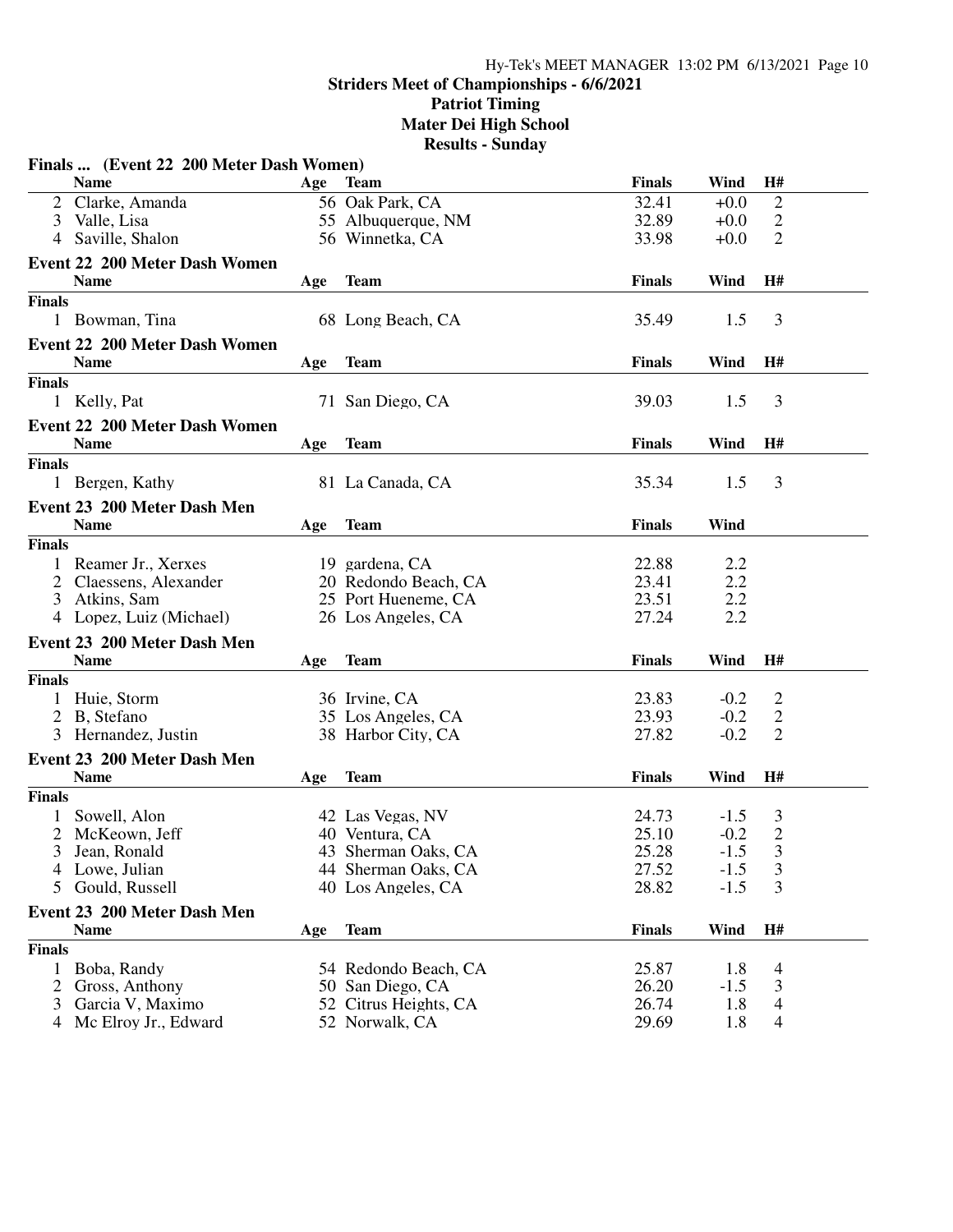#### **Striders Meet of Championships - 6/6/2021**

**Patriot Timing**

**Mater Dei High School**

|               | Finals  (Event 22 200 Meter Dash Women)    |     |                       |               |        |                |  |
|---------------|--------------------------------------------|-----|-----------------------|---------------|--------|----------------|--|
|               | <b>Name</b>                                | Age | <b>Team</b>           | <b>Finals</b> | Wind   | H#             |  |
|               | Clarke, Amanda                             |     | 56 Oak Park, CA       | 32.41         | $+0.0$ | $\overline{2}$ |  |
| 3             | Valle, Lisa                                |     | 55 Albuquerque, NM    | 32.89         | $+0.0$ | $\overline{2}$ |  |
|               | Saville, Shalon                            |     | 56 Winnetka, CA       | 33.98         | $+0.0$ | $\overline{2}$ |  |
|               | <b>Event 22 200 Meter Dash Women</b>       |     |                       |               |        |                |  |
|               | <b>Name</b>                                | Age | <b>Team</b>           | <b>Finals</b> | Wind   | H#             |  |
| <b>Finals</b> |                                            |     |                       |               |        |                |  |
|               | 1 Bowman, Tina                             |     | 68 Long Beach, CA     | 35.49         | 1.5    | 3              |  |
|               | <b>Event 22 200 Meter Dash Women</b>       |     |                       |               |        |                |  |
|               | <b>Name</b>                                | Age | <b>Team</b>           | <b>Finals</b> | Wind   | H#             |  |
| <b>Finals</b> |                                            |     |                       |               |        |                |  |
|               | 1 Kelly, Pat                               |     | 71 San Diego, CA      | 39.03         | 1.5    | 3              |  |
|               | Event 22 200 Meter Dash Women              |     |                       |               |        |                |  |
|               | <b>Name</b>                                | Age | <b>Team</b>           | <b>Finals</b> | Wind   | H#             |  |
| <b>Finals</b> |                                            |     |                       |               |        |                |  |
|               | 1 Bergen, Kathy                            |     | 81 La Canada, CA      | 35.34         | 1.5    | 3              |  |
|               |                                            |     |                       |               |        |                |  |
|               | Event 23 200 Meter Dash Men<br><b>Name</b> |     | <b>Team</b>           | <b>Finals</b> | Wind   |                |  |
| <b>Finals</b> |                                            | Age |                       |               |        |                |  |
|               | 1 Reamer Jr., Xerxes                       |     | 19 gardena, CA        | 22.88         | 2.2    |                |  |
| 2             | Claessens, Alexander                       |     | 20 Redondo Beach, CA  | 23.41         | 2.2    |                |  |
|               | 3 Atkins, Sam                              |     | 25 Port Hueneme, CA   | 23.51         | 2.2    |                |  |
|               | 4 Lopez, Luiz (Michael)                    |     | 26 Los Angeles, CA    | 27.24         | 2.2    |                |  |
|               |                                            |     |                       |               |        |                |  |
|               | Event 23 200 Meter Dash Men                |     |                       |               |        |                |  |
|               | <b>Name</b>                                | Age | <b>Team</b>           | <b>Finals</b> | Wind   | H#             |  |
| <b>Finals</b> |                                            |     |                       |               |        |                |  |
|               | 1 Huie, Storm                              |     | 36 Irvine, CA         | 23.83         | $-0.2$ | $\overline{2}$ |  |
|               | 2 B, Stefano                               |     | 35 Los Angeles, CA    | 23.93         | $-0.2$ | $\overline{2}$ |  |
|               | 3 Hernandez, Justin                        |     | 38 Harbor City, CA    | 27.82         | $-0.2$ | 2              |  |
|               | Event 23 200 Meter Dash Men                |     |                       |               |        |                |  |
|               | <b>Name</b>                                | Age | <b>Team</b>           | <b>Finals</b> | Wind   | H#             |  |
| <b>Finals</b> |                                            |     |                       |               |        |                |  |
|               | Sowell, Alon                               |     | 42 Las Vegas, NV      | 24.73         | $-1.5$ | 3              |  |
| 2             | McKeown, Jeff                              |     | 40 Ventura, CA        | 25.10         | $-0.2$ | $\sqrt{2}$     |  |
|               | 3 Jean, Ronald                             |     | 43 Sherman Oaks, CA   | 25.28         | $-1.5$ | $\mathfrak{Z}$ |  |
| 4             | Lowe, Julian                               |     | 44 Sherman Oaks, CA   | 27.52         | $-1.5$ | 3              |  |
| 5             | Gould, Russell                             |     | 40 Los Angeles, CA    | 28.82         | $-1.5$ | 3              |  |
|               | Event 23 200 Meter Dash Men                |     |                       |               |        |                |  |
|               | <b>Name</b>                                | Age | <b>Team</b>           | <b>Finals</b> | Wind   | H#             |  |
| <b>Finals</b> |                                            |     |                       |               |        |                |  |
| $\mathbf{1}$  | Boba, Randy                                |     | 54 Redondo Beach, CA  | 25.87         | 1.8    | 4              |  |
| 2             | Gross, Anthony                             |     | 50 San Diego, CA      | 26.20         | $-1.5$ | 3              |  |
| 3             | Garcia V, Maximo                           |     | 52 Citrus Heights, CA | 26.74         | 1.8    | 4              |  |
| 4             | Mc Elroy Jr., Edward                       |     | 52 Norwalk, CA        | 29.69         | 1.8    | 4              |  |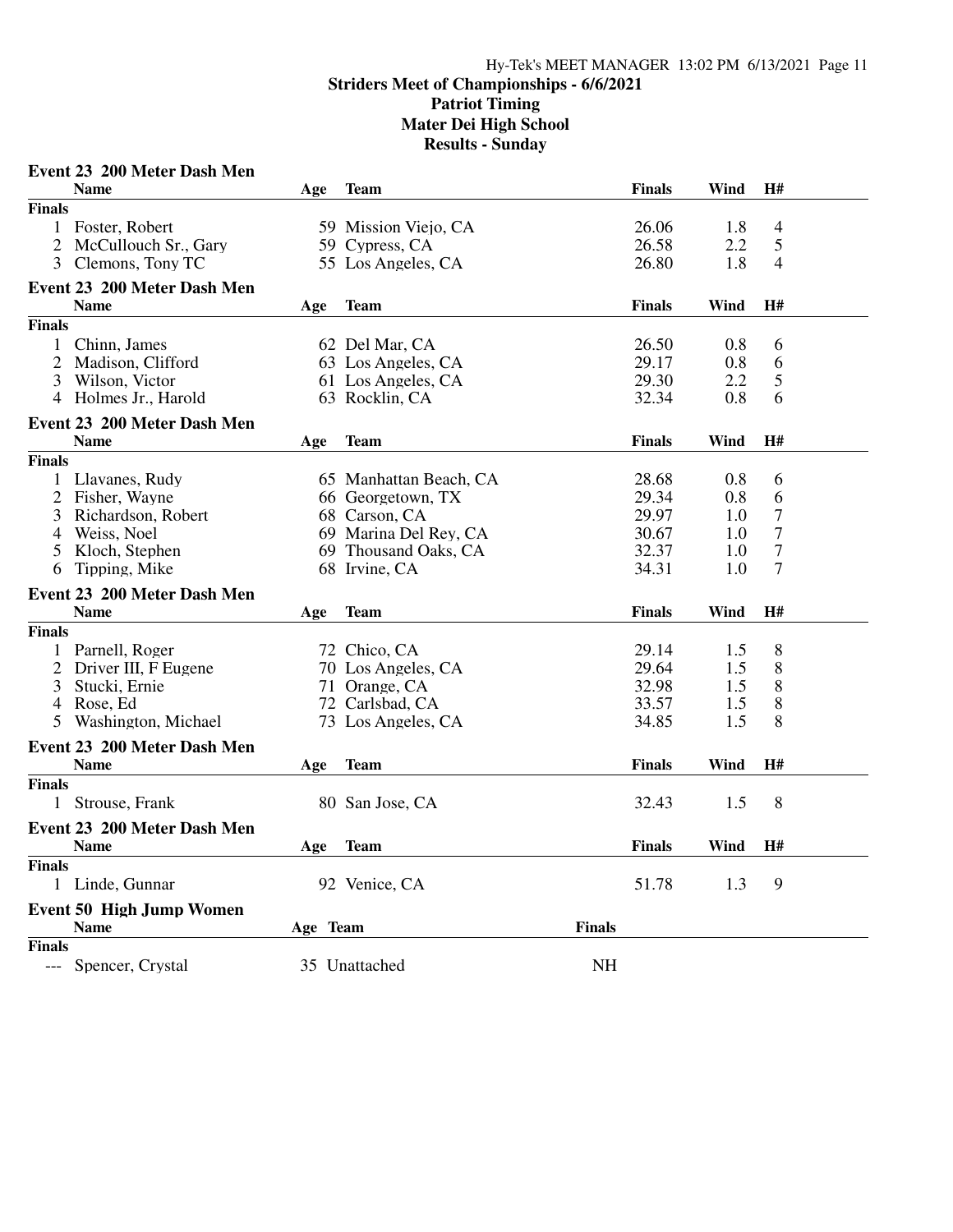# **Striders Meet of Championships - 6/6/2021**

**Patriot Timing**

**Mater Dei High School**

|                | Event 23 200 Meter Dash Men     |          |                        |               |               |      |                  |  |
|----------------|---------------------------------|----------|------------------------|---------------|---------------|------|------------------|--|
|                | <b>Name</b>                     | Age      | <b>Team</b>            |               | <b>Finals</b> | Wind | H#               |  |
| <b>Finals</b>  |                                 |          |                        |               |               |      |                  |  |
|                | 1 Foster, Robert                |          | 59 Mission Viejo, CA   |               | 26.06         | 1.8  | $\overline{4}$   |  |
| $\overline{2}$ | McCullouch Sr., Gary            |          | 59 Cypress, CA         |               | 26.58         | 2.2  | 5                |  |
| 3              | Clemons, Tony TC                |          | 55 Los Angeles, CA     |               | 26.80         | 1.8  | 4                |  |
|                | Event 23 200 Meter Dash Men     |          |                        |               |               |      |                  |  |
|                | <b>Name</b>                     | Age      | Team                   |               | <b>Finals</b> | Wind | H#               |  |
| <b>Finals</b>  |                                 |          |                        |               |               |      |                  |  |
| 1              | Chinn, James                    |          | 62 Del Mar, CA         |               | 26.50         | 0.8  | 6                |  |
| $\overline{c}$ | Madison, Clifford               |          | 63 Los Angeles, CA     |               | 29.17         | 0.8  | 6                |  |
| 3              | Wilson, Victor                  |          | 61 Los Angeles, CA     |               | 29.30         | 2.2  | $\mathfrak{S}$   |  |
| 4              | Holmes Jr., Harold              |          | 63 Rocklin, CA         |               | 32.34         | 0.8  | 6                |  |
|                | Event 23 200 Meter Dash Men     |          |                        |               |               |      |                  |  |
|                | <b>Name</b>                     | Age      | <b>Team</b>            |               | <b>Finals</b> | Wind | H#               |  |
| <b>Finals</b>  |                                 |          |                        |               |               |      |                  |  |
| $\mathbf{1}$   | Llavanes, Rudy                  |          | 65 Manhattan Beach, CA |               | 28.68         | 0.8  | 6                |  |
|                | 2 Fisher, Wayne                 |          | 66 Georgetown, TX      |               | 29.34         | 0.8  | 6                |  |
| 3              | Richardson, Robert              |          | 68 Carson, CA          |               | 29.97         | 1.0  | $\boldsymbol{7}$ |  |
| 4              | Weiss, Noel                     |          | 69 Marina Del Rey, CA  |               | 30.67         | 1.0  | $\tau$           |  |
| 5              | Kloch, Stephen                  |          | 69 Thousand Oaks, CA   |               | 32.37         | 1.0  | $\boldsymbol{7}$ |  |
| 6              | Tipping, Mike                   |          | 68 Irvine, CA          |               | 34.31         | 1.0  | $\tau$           |  |
|                | Event 23 200 Meter Dash Men     |          |                        |               |               |      |                  |  |
|                | <b>Name</b>                     | Age      | <b>Team</b>            |               | <b>Finals</b> | Wind | H#               |  |
| <b>Finals</b>  |                                 |          |                        |               |               |      |                  |  |
|                | 1 Parnell, Roger                |          | 72 Chico, CA           |               | 29.14         | 1.5  | 8                |  |
| 2              | Driver III, F Eugene            |          | 70 Los Angeles, CA     |               | 29.64         | 1.5  | 8                |  |
| 3              | Stucki, Ernie                   |          | 71 Orange, CA          |               | 32.98         | 1.5  | 8                |  |
| 4              | Rose, Ed                        |          | 72 Carlsbad, CA        |               | 33.57         | 1.5  | 8                |  |
| 5              | Washington, Michael             |          | 73 Los Angeles, CA     |               | 34.85         | 1.5  | 8                |  |
|                | Event 23 200 Meter Dash Men     |          |                        |               |               |      |                  |  |
|                | <b>Name</b>                     | Age      | <b>Team</b>            |               | <b>Finals</b> | Wind | H#               |  |
| <b>Finals</b>  |                                 |          |                        |               |               |      |                  |  |
|                | 1 Strouse, Frank                |          | 80 San Jose, CA        |               | 32.43         | 1.5  | 8                |  |
|                | Event 23 200 Meter Dash Men     |          |                        |               |               |      |                  |  |
|                | <b>Name</b>                     | Age      | <b>Team</b>            |               | <b>Finals</b> | Wind | H#               |  |
| <b>Finals</b>  |                                 |          |                        |               |               |      |                  |  |
|                | Linde, Gunnar                   |          | 92 Venice, CA          |               | 51.78         | 1.3  | 9                |  |
|                | <b>Event 50 High Jump Women</b> |          |                        |               |               |      |                  |  |
|                | <b>Name</b>                     | Age Team |                        | <b>Finals</b> |               |      |                  |  |
| <b>Finals</b>  |                                 |          |                        |               |               |      |                  |  |
| ---            | Spencer, Crystal                |          | 35 Unattached          | <b>NH</b>     |               |      |                  |  |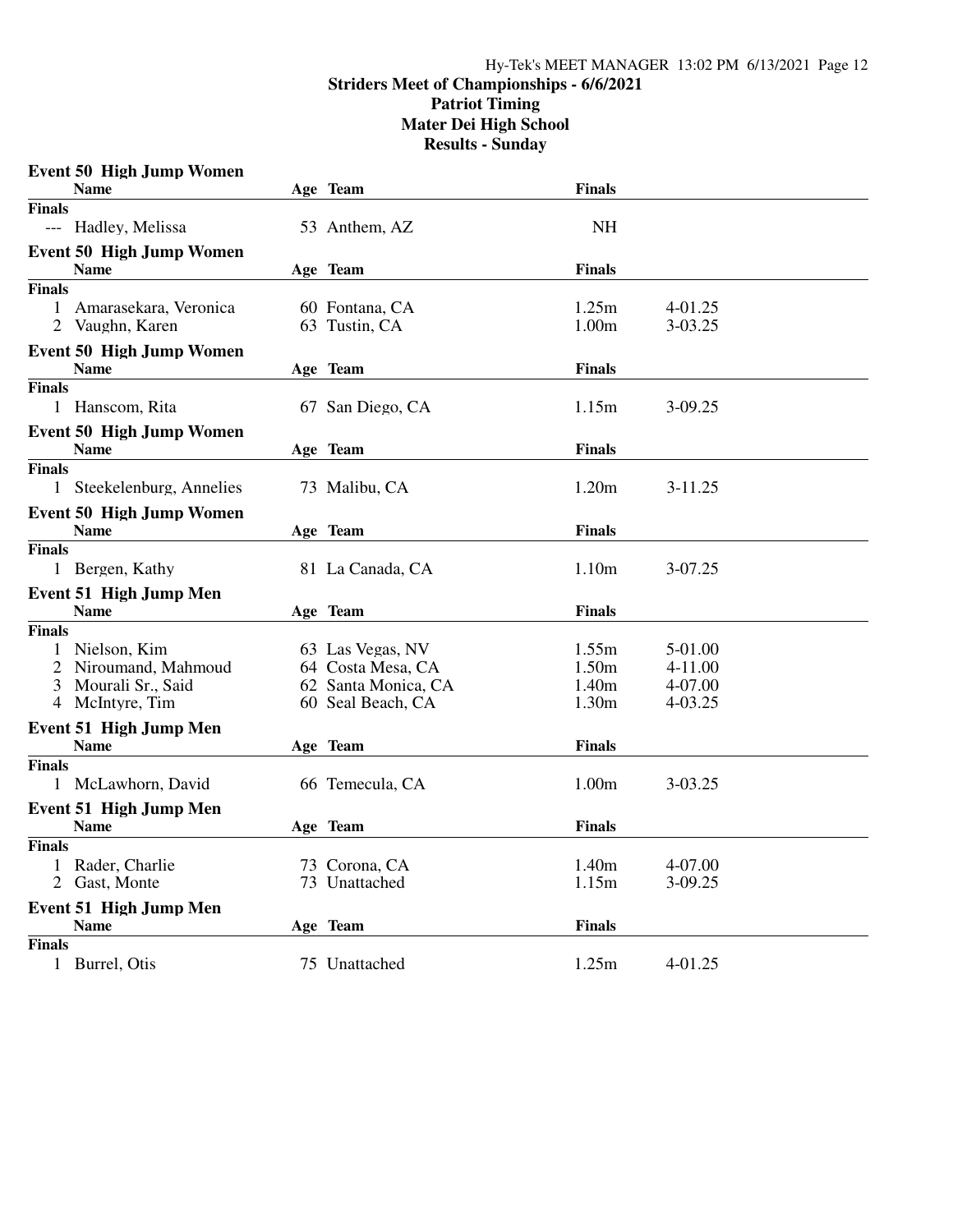### Hy-Tek's MEET MANAGER 13:02 PM 6/13/2021 Page 12 **Striders Meet of Championships - 6/6/2021 Patriot Timing Mater Dei High School Results - Sunday**

|               | <b>Event 50 High Jump Women</b> |                     |                   |             |
|---------------|---------------------------------|---------------------|-------------------|-------------|
|               | <b>Name</b>                     | Age Team            | <b>Finals</b>     |             |
| <b>Finals</b> |                                 |                     |                   |             |
|               | --- Hadley, Melissa             | 53 Anthem, AZ       | <b>NH</b>         |             |
|               | <b>Event 50 High Jump Women</b> |                     |                   |             |
|               | <b>Name</b>                     | Age Team            | <b>Finals</b>     |             |
| <b>Finals</b> |                                 |                     |                   |             |
| 1             | Amarasekara, Veronica           | 60 Fontana, CA      | 1.25m             | 4-01.25     |
|               | 2 Vaughn, Karen                 | 63 Tustin, CA       | 1.00 <sub>m</sub> | 3-03.25     |
|               | <b>Event 50 High Jump Women</b> |                     |                   |             |
|               | <b>Name</b>                     | Age Team            | <b>Finals</b>     |             |
| <b>Finals</b> |                                 |                     |                   |             |
|               | 1 Hanscom, Rita                 | 67 San Diego, CA    | 1.15m             | 3-09.25     |
|               | Event 50 High Jump Women        |                     |                   |             |
|               | <b>Name</b>                     | Age Team            | <b>Finals</b>     |             |
| <b>Finals</b> |                                 |                     |                   |             |
|               | 1 Steekelenburg, Annelies       | 73 Malibu, CA       | 1.20m             | $3 - 11.25$ |
|               | <b>Event 50 High Jump Women</b> |                     |                   |             |
|               | <b>Name</b>                     | Age Team            | <b>Finals</b>     |             |
| Finals        |                                 |                     |                   |             |
|               | 1 Bergen, Kathy                 | 81 La Canada, CA    | 1.10m             | 3-07.25     |
|               | <b>Event 51 High Jump Men</b>   |                     |                   |             |
|               | <b>Name</b>                     | Age Team            | <b>Finals</b>     |             |
| Finals        |                                 |                     |                   |             |
|               | 1 Nielson, Kim                  | 63 Las Vegas, NV    | 1.55m             | 5-01.00     |
|               | 2 Niroumand, Mahmoud            | 64 Costa Mesa, CA   | 1.50m             | 4-11.00     |
|               | 3 Mourali Sr., Said             | 62 Santa Monica, CA | 1.40m             | 4-07.00     |
|               | 4 McIntyre, Tim                 | 60 Seal Beach, CA   | 1.30 <sub>m</sub> | 4-03.25     |
|               | Event 51 High Jump Men          |                     |                   |             |
|               | <b>Name</b>                     | Age Team            | <b>Finals</b>     |             |
| <b>Finals</b> |                                 |                     |                   |             |
|               | 1 McLawhorn, David              | 66 Temecula, CA     | 1.00 <sub>m</sub> | 3-03.25     |
|               | <b>Event 51 High Jump Men</b>   |                     |                   |             |
|               | <b>Name</b>                     | Age Team            | <b>Finals</b>     |             |
| <b>Finals</b> |                                 |                     |                   |             |
|               | 1 Rader, Charlie                | 73 Corona, CA       | 1.40m             | 4-07.00     |
|               | 2 Gast, Monte                   | 73 Unattached       | 1.15m             | 3-09.25     |
|               |                                 |                     |                   |             |
|               | <b>Event 51 High Jump Men</b>   |                     |                   |             |
|               | Name                            | Age Team            | <b>Finals</b>     |             |
| <b>Finals</b> |                                 |                     | 1.25m             |             |
|               | 1 Burrel, Otis                  | 75 Unattached       |                   | 4-01.25     |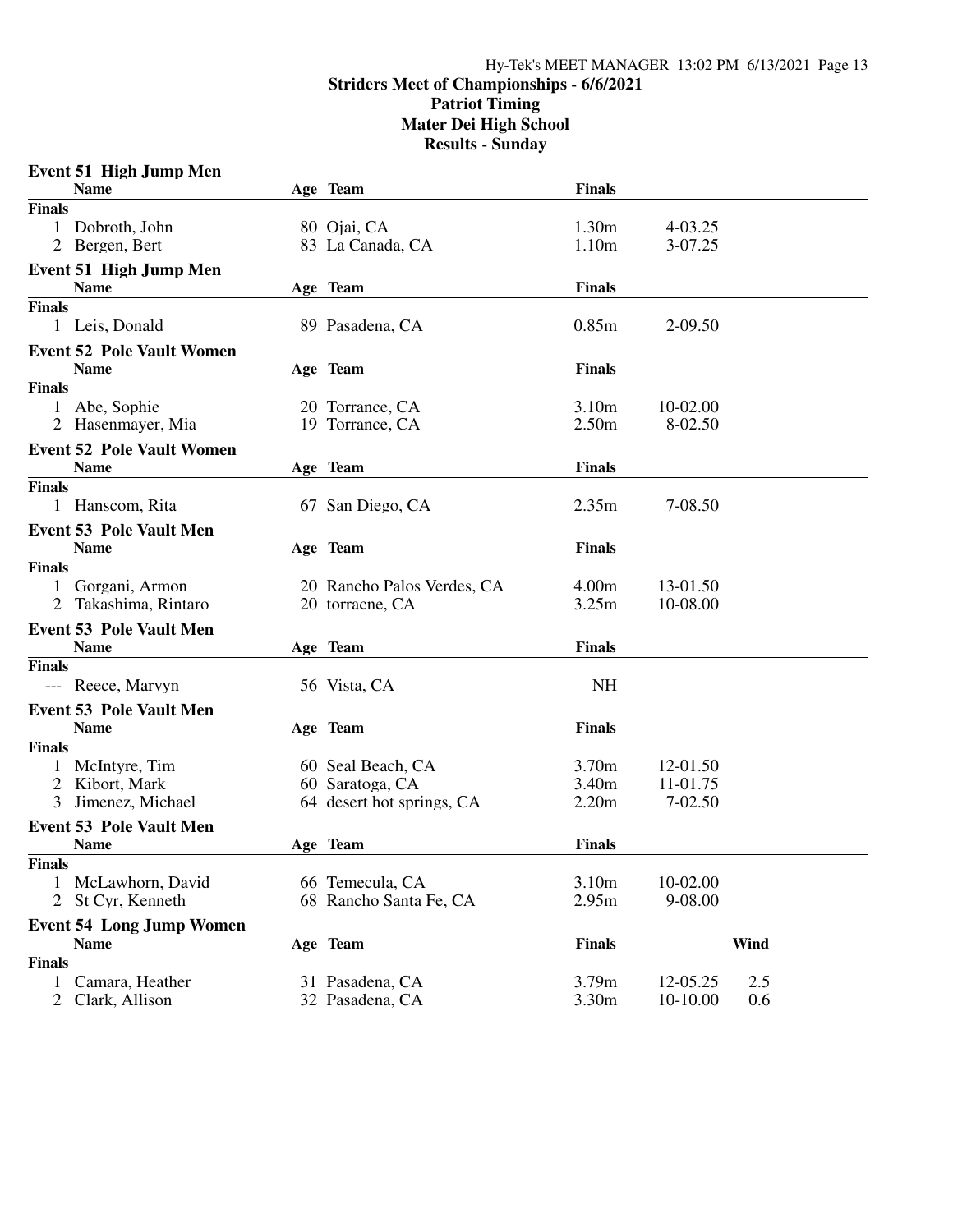# Hy-Tek's MEET MANAGER 13:02 PM 6/13/2021 Page 13 **Striders Meet of Championships - 6/6/2021 Patriot Timing Mater Dei High School Results - Sunday**

| Age Team<br><b>Finals</b><br>1.30m<br>Dobroth, John<br>80 Ojai, CA<br>4-03.25<br>1<br>1.10m<br>2 Bergen, Bert<br>83 La Canada, CA<br>3-07.25<br><b>Event 51 High Jump Men</b><br><b>Finals</b><br><b>Name</b><br>Age Team<br><b>Finals</b><br>0.85m<br>2-09.50<br>1 Leis, Donald<br>89 Pasadena, CA<br><b>Name</b><br>Age Team<br><b>Finals</b><br>Abe, Sophie<br>3.10 <sub>m</sub><br>10-02.00<br>1<br>20 Torrance, CA<br>2.50 <sub>m</sub><br>2 Hasenmayer, Mia<br>19 Torrance, CA<br>8-02.50<br><b>Finals</b><br><b>Name</b><br>Age Team<br>2.35m<br>1 Hanscom, Rita<br>67 San Diego, CA<br>7-08.50<br><b>Event 53 Pole Vault Men</b><br><b>Name</b><br><b>Finals</b><br>Age Team<br>4.00m<br>20 Rancho Palos Verdes, CA<br>13-01.50<br>1<br>Gorgani, Armon<br>Takashima, Rintaro<br>3.25m<br>20 torracne, CA<br>10-08.00<br><b>Event 53 Pole Vault Men</b><br><b>Name</b><br><b>Finals</b><br>Age Team<br><b>Finals</b><br><b>NH</b><br>--- Reece, Marvyn<br>56 Vista, CA<br><b>Event 53 Pole Vault Men</b><br><b>Name</b><br>Age Team<br><b>Finals</b><br><b>Finals</b><br>3.70m<br>1<br>McIntyre, Tim<br>12-01.50<br>60 Seal Beach, CA<br>2 Kibort, Mark<br>60 Saratoga, CA<br>3.40 <sub>m</sub><br>11-01.75<br>Jimenez, Michael<br>64 desert hot springs, CA<br>2.20m<br>7-02.50<br>3<br><b>Event 53 Pole Vault Men</b><br><b>Finals</b><br><b>Name</b><br>Age Team<br><b>Finals</b><br>66 Temecula, CA<br>3.10m<br>10-02.00<br>McLawhorn, David<br>1<br>St Cyr, Kenneth<br>68 Rancho Santa Fe, CA<br>2.95m<br>9-08.00<br>$\overline{2}$<br><b>Event 54 Long Jump Women</b><br><b>Finals</b><br>Wind<br>Age Team<br><b>Name</b><br><b>Finals</b><br>3.79m<br>Camara, Heather<br>$\mathbf{1}$<br>31 Pasadena, CA<br>12-05.25<br>2.5<br>32 Pasadena, CA | <b>Event 51 High Jump Men</b>    |  |               |          |     |  |
|--------------------------------------------------------------------------------------------------------------------------------------------------------------------------------------------------------------------------------------------------------------------------------------------------------------------------------------------------------------------------------------------------------------------------------------------------------------------------------------------------------------------------------------------------------------------------------------------------------------------------------------------------------------------------------------------------------------------------------------------------------------------------------------------------------------------------------------------------------------------------------------------------------------------------------------------------------------------------------------------------------------------------------------------------------------------------------------------------------------------------------------------------------------------------------------------------------------------------------------------------------------------------------------------------------------------------------------------------------------------------------------------------------------------------------------------------------------------------------------------------------------------------------------------------------------------------------------------------------------------------------------------------------------------------------------------------------------------------------------------------------------|----------------------------------|--|---------------|----------|-----|--|
|                                                                                                                                                                                                                                                                                                                                                                                                                                                                                                                                                                                                                                                                                                                                                                                                                                                                                                                                                                                                                                                                                                                                                                                                                                                                                                                                                                                                                                                                                                                                                                                                                                                                                                                                                              | <b>Name</b>                      |  | <b>Finals</b> |          |     |  |
|                                                                                                                                                                                                                                                                                                                                                                                                                                                                                                                                                                                                                                                                                                                                                                                                                                                                                                                                                                                                                                                                                                                                                                                                                                                                                                                                                                                                                                                                                                                                                                                                                                                                                                                                                              |                                  |  |               |          |     |  |
|                                                                                                                                                                                                                                                                                                                                                                                                                                                                                                                                                                                                                                                                                                                                                                                                                                                                                                                                                                                                                                                                                                                                                                                                                                                                                                                                                                                                                                                                                                                                                                                                                                                                                                                                                              |                                  |  |               |          |     |  |
|                                                                                                                                                                                                                                                                                                                                                                                                                                                                                                                                                                                                                                                                                                                                                                                                                                                                                                                                                                                                                                                                                                                                                                                                                                                                                                                                                                                                                                                                                                                                                                                                                                                                                                                                                              |                                  |  |               |          |     |  |
|                                                                                                                                                                                                                                                                                                                                                                                                                                                                                                                                                                                                                                                                                                                                                                                                                                                                                                                                                                                                                                                                                                                                                                                                                                                                                                                                                                                                                                                                                                                                                                                                                                                                                                                                                              |                                  |  |               |          |     |  |
|                                                                                                                                                                                                                                                                                                                                                                                                                                                                                                                                                                                                                                                                                                                                                                                                                                                                                                                                                                                                                                                                                                                                                                                                                                                                                                                                                                                                                                                                                                                                                                                                                                                                                                                                                              |                                  |  |               |          |     |  |
|                                                                                                                                                                                                                                                                                                                                                                                                                                                                                                                                                                                                                                                                                                                                                                                                                                                                                                                                                                                                                                                                                                                                                                                                                                                                                                                                                                                                                                                                                                                                                                                                                                                                                                                                                              |                                  |  |               |          |     |  |
|                                                                                                                                                                                                                                                                                                                                                                                                                                                                                                                                                                                                                                                                                                                                                                                                                                                                                                                                                                                                                                                                                                                                                                                                                                                                                                                                                                                                                                                                                                                                                                                                                                                                                                                                                              |                                  |  |               |          |     |  |
|                                                                                                                                                                                                                                                                                                                                                                                                                                                                                                                                                                                                                                                                                                                                                                                                                                                                                                                                                                                                                                                                                                                                                                                                                                                                                                                                                                                                                                                                                                                                                                                                                                                                                                                                                              | <b>Event 52 Pole Vault Women</b> |  |               |          |     |  |
|                                                                                                                                                                                                                                                                                                                                                                                                                                                                                                                                                                                                                                                                                                                                                                                                                                                                                                                                                                                                                                                                                                                                                                                                                                                                                                                                                                                                                                                                                                                                                                                                                                                                                                                                                              |                                  |  |               |          |     |  |
|                                                                                                                                                                                                                                                                                                                                                                                                                                                                                                                                                                                                                                                                                                                                                                                                                                                                                                                                                                                                                                                                                                                                                                                                                                                                                                                                                                                                                                                                                                                                                                                                                                                                                                                                                              | <b>Finals</b>                    |  |               |          |     |  |
|                                                                                                                                                                                                                                                                                                                                                                                                                                                                                                                                                                                                                                                                                                                                                                                                                                                                                                                                                                                                                                                                                                                                                                                                                                                                                                                                                                                                                                                                                                                                                                                                                                                                                                                                                              |                                  |  |               |          |     |  |
|                                                                                                                                                                                                                                                                                                                                                                                                                                                                                                                                                                                                                                                                                                                                                                                                                                                                                                                                                                                                                                                                                                                                                                                                                                                                                                                                                                                                                                                                                                                                                                                                                                                                                                                                                              |                                  |  |               |          |     |  |
|                                                                                                                                                                                                                                                                                                                                                                                                                                                                                                                                                                                                                                                                                                                                                                                                                                                                                                                                                                                                                                                                                                                                                                                                                                                                                                                                                                                                                                                                                                                                                                                                                                                                                                                                                              | <b>Event 52 Pole Vault Women</b> |  |               |          |     |  |
|                                                                                                                                                                                                                                                                                                                                                                                                                                                                                                                                                                                                                                                                                                                                                                                                                                                                                                                                                                                                                                                                                                                                                                                                                                                                                                                                                                                                                                                                                                                                                                                                                                                                                                                                                              |                                  |  |               |          |     |  |
|                                                                                                                                                                                                                                                                                                                                                                                                                                                                                                                                                                                                                                                                                                                                                                                                                                                                                                                                                                                                                                                                                                                                                                                                                                                                                                                                                                                                                                                                                                                                                                                                                                                                                                                                                              | <b>Finals</b>                    |  |               |          |     |  |
|                                                                                                                                                                                                                                                                                                                                                                                                                                                                                                                                                                                                                                                                                                                                                                                                                                                                                                                                                                                                                                                                                                                                                                                                                                                                                                                                                                                                                                                                                                                                                                                                                                                                                                                                                              |                                  |  |               |          |     |  |
|                                                                                                                                                                                                                                                                                                                                                                                                                                                                                                                                                                                                                                                                                                                                                                                                                                                                                                                                                                                                                                                                                                                                                                                                                                                                                                                                                                                                                                                                                                                                                                                                                                                                                                                                                              |                                  |  |               |          |     |  |
|                                                                                                                                                                                                                                                                                                                                                                                                                                                                                                                                                                                                                                                                                                                                                                                                                                                                                                                                                                                                                                                                                                                                                                                                                                                                                                                                                                                                                                                                                                                                                                                                                                                                                                                                                              |                                  |  |               |          |     |  |
|                                                                                                                                                                                                                                                                                                                                                                                                                                                                                                                                                                                                                                                                                                                                                                                                                                                                                                                                                                                                                                                                                                                                                                                                                                                                                                                                                                                                                                                                                                                                                                                                                                                                                                                                                              | <b>Finals</b>                    |  |               |          |     |  |
|                                                                                                                                                                                                                                                                                                                                                                                                                                                                                                                                                                                                                                                                                                                                                                                                                                                                                                                                                                                                                                                                                                                                                                                                                                                                                                                                                                                                                                                                                                                                                                                                                                                                                                                                                              |                                  |  |               |          |     |  |
|                                                                                                                                                                                                                                                                                                                                                                                                                                                                                                                                                                                                                                                                                                                                                                                                                                                                                                                                                                                                                                                                                                                                                                                                                                                                                                                                                                                                                                                                                                                                                                                                                                                                                                                                                              |                                  |  |               |          |     |  |
|                                                                                                                                                                                                                                                                                                                                                                                                                                                                                                                                                                                                                                                                                                                                                                                                                                                                                                                                                                                                                                                                                                                                                                                                                                                                                                                                                                                                                                                                                                                                                                                                                                                                                                                                                              |                                  |  |               |          |     |  |
|                                                                                                                                                                                                                                                                                                                                                                                                                                                                                                                                                                                                                                                                                                                                                                                                                                                                                                                                                                                                                                                                                                                                                                                                                                                                                                                                                                                                                                                                                                                                                                                                                                                                                                                                                              |                                  |  |               |          |     |  |
|                                                                                                                                                                                                                                                                                                                                                                                                                                                                                                                                                                                                                                                                                                                                                                                                                                                                                                                                                                                                                                                                                                                                                                                                                                                                                                                                                                                                                                                                                                                                                                                                                                                                                                                                                              |                                  |  |               |          |     |  |
|                                                                                                                                                                                                                                                                                                                                                                                                                                                                                                                                                                                                                                                                                                                                                                                                                                                                                                                                                                                                                                                                                                                                                                                                                                                                                                                                                                                                                                                                                                                                                                                                                                                                                                                                                              |                                  |  |               |          |     |  |
|                                                                                                                                                                                                                                                                                                                                                                                                                                                                                                                                                                                                                                                                                                                                                                                                                                                                                                                                                                                                                                                                                                                                                                                                                                                                                                                                                                                                                                                                                                                                                                                                                                                                                                                                                              |                                  |  |               |          |     |  |
|                                                                                                                                                                                                                                                                                                                                                                                                                                                                                                                                                                                                                                                                                                                                                                                                                                                                                                                                                                                                                                                                                                                                                                                                                                                                                                                                                                                                                                                                                                                                                                                                                                                                                                                                                              |                                  |  |               |          |     |  |
|                                                                                                                                                                                                                                                                                                                                                                                                                                                                                                                                                                                                                                                                                                                                                                                                                                                                                                                                                                                                                                                                                                                                                                                                                                                                                                                                                                                                                                                                                                                                                                                                                                                                                                                                                              |                                  |  |               |          |     |  |
|                                                                                                                                                                                                                                                                                                                                                                                                                                                                                                                                                                                                                                                                                                                                                                                                                                                                                                                                                                                                                                                                                                                                                                                                                                                                                                                                                                                                                                                                                                                                                                                                                                                                                                                                                              |                                  |  |               |          |     |  |
|                                                                                                                                                                                                                                                                                                                                                                                                                                                                                                                                                                                                                                                                                                                                                                                                                                                                                                                                                                                                                                                                                                                                                                                                                                                                                                                                                                                                                                                                                                                                                                                                                                                                                                                                                              |                                  |  |               |          |     |  |
|                                                                                                                                                                                                                                                                                                                                                                                                                                                                                                                                                                                                                                                                                                                                                                                                                                                                                                                                                                                                                                                                                                                                                                                                                                                                                                                                                                                                                                                                                                                                                                                                                                                                                                                                                              |                                  |  |               |          |     |  |
|                                                                                                                                                                                                                                                                                                                                                                                                                                                                                                                                                                                                                                                                                                                                                                                                                                                                                                                                                                                                                                                                                                                                                                                                                                                                                                                                                                                                                                                                                                                                                                                                                                                                                                                                                              |                                  |  |               |          |     |  |
|                                                                                                                                                                                                                                                                                                                                                                                                                                                                                                                                                                                                                                                                                                                                                                                                                                                                                                                                                                                                                                                                                                                                                                                                                                                                                                                                                                                                                                                                                                                                                                                                                                                                                                                                                              |                                  |  |               |          |     |  |
|                                                                                                                                                                                                                                                                                                                                                                                                                                                                                                                                                                                                                                                                                                                                                                                                                                                                                                                                                                                                                                                                                                                                                                                                                                                                                                                                                                                                                                                                                                                                                                                                                                                                                                                                                              |                                  |  |               |          |     |  |
|                                                                                                                                                                                                                                                                                                                                                                                                                                                                                                                                                                                                                                                                                                                                                                                                                                                                                                                                                                                                                                                                                                                                                                                                                                                                                                                                                                                                                                                                                                                                                                                                                                                                                                                                                              |                                  |  |               |          |     |  |
|                                                                                                                                                                                                                                                                                                                                                                                                                                                                                                                                                                                                                                                                                                                                                                                                                                                                                                                                                                                                                                                                                                                                                                                                                                                                                                                                                                                                                                                                                                                                                                                                                                                                                                                                                              |                                  |  |               |          |     |  |
|                                                                                                                                                                                                                                                                                                                                                                                                                                                                                                                                                                                                                                                                                                                                                                                                                                                                                                                                                                                                                                                                                                                                                                                                                                                                                                                                                                                                                                                                                                                                                                                                                                                                                                                                                              |                                  |  |               |          |     |  |
|                                                                                                                                                                                                                                                                                                                                                                                                                                                                                                                                                                                                                                                                                                                                                                                                                                                                                                                                                                                                                                                                                                                                                                                                                                                                                                                                                                                                                                                                                                                                                                                                                                                                                                                                                              |                                  |  |               |          |     |  |
|                                                                                                                                                                                                                                                                                                                                                                                                                                                                                                                                                                                                                                                                                                                                                                                                                                                                                                                                                                                                                                                                                                                                                                                                                                                                                                                                                                                                                                                                                                                                                                                                                                                                                                                                                              |                                  |  |               |          |     |  |
|                                                                                                                                                                                                                                                                                                                                                                                                                                                                                                                                                                                                                                                                                                                                                                                                                                                                                                                                                                                                                                                                                                                                                                                                                                                                                                                                                                                                                                                                                                                                                                                                                                                                                                                                                              |                                  |  |               |          |     |  |
|                                                                                                                                                                                                                                                                                                                                                                                                                                                                                                                                                                                                                                                                                                                                                                                                                                                                                                                                                                                                                                                                                                                                                                                                                                                                                                                                                                                                                                                                                                                                                                                                                                                                                                                                                              | Clark, Allison<br>$\mathbf{2}$   |  | 3.30m         | 10-10.00 | 0.6 |  |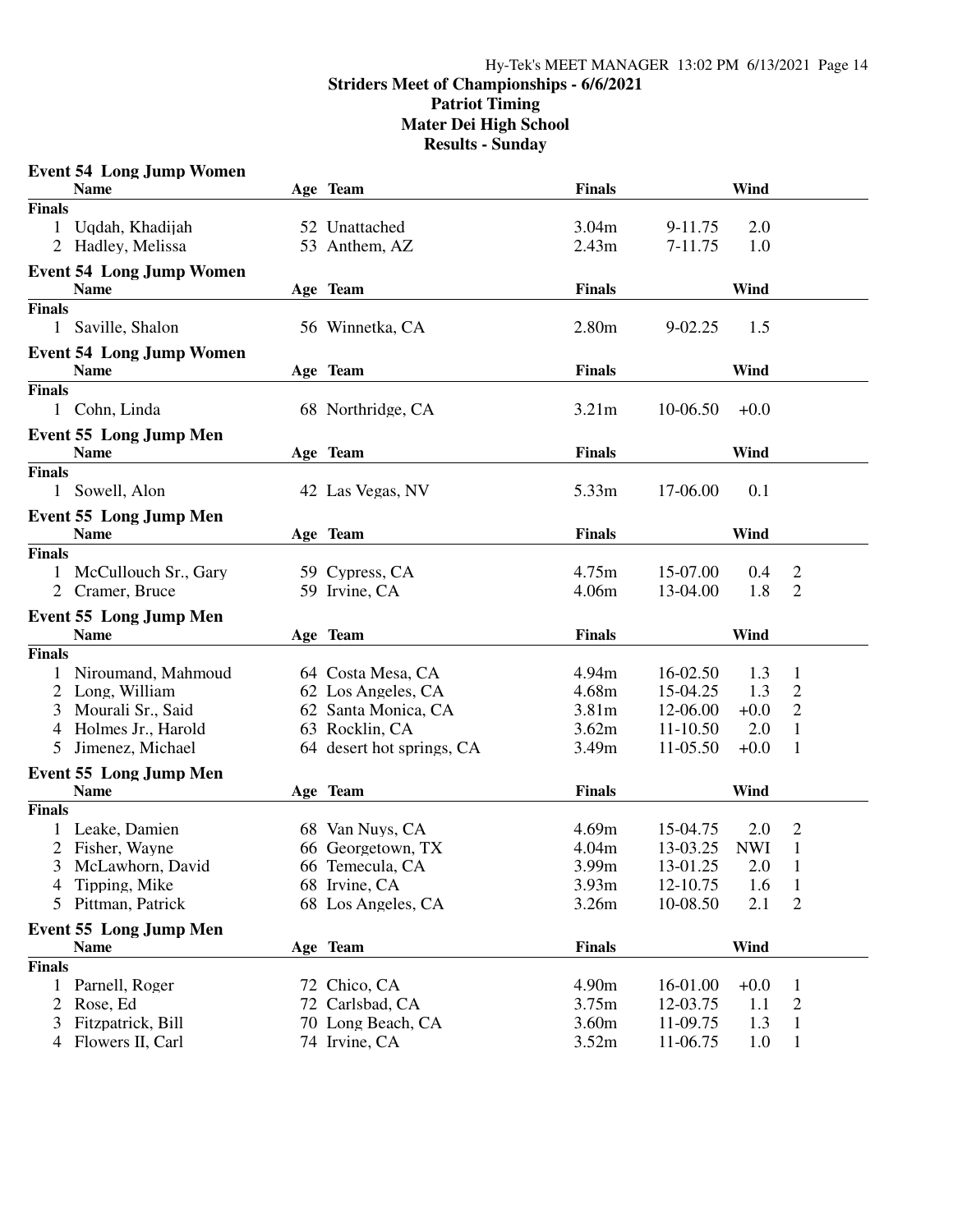## Hy-Tek's MEET MANAGER 13:02 PM 6/13/2021 Page 14 **Striders Meet of Championships - 6/6/2021 Patriot Timing Mater Dei High School Results - Sunday**

|               | <b>Event 54 Long Jump Women</b> |                           |                   |             |            |                |
|---------------|---------------------------------|---------------------------|-------------------|-------------|------------|----------------|
|               | <b>Name</b>                     | Age Team                  | <b>Finals</b>     |             | Wind       |                |
| <b>Finals</b> |                                 |                           |                   |             |            |                |
| 1             | Uqdah, Khadijah                 | 52 Unattached             | 3.04m             | 9-11.75     | 2.0        |                |
|               | 2 Hadley, Melissa               | 53 Anthem, AZ             | 2.43m             | 7-11.75     | 1.0        |                |
|               |                                 |                           |                   |             |            |                |
|               | <b>Event 54 Long Jump Women</b> |                           |                   |             |            |                |
|               | <b>Name</b>                     | Age Team                  | <b>Finals</b>     |             | Wind       |                |
| <b>Finals</b> |                                 |                           |                   |             |            |                |
| 1             | Saville, Shalon                 | 56 Winnetka, CA           | 2.80 <sub>m</sub> | $9 - 02.25$ | 1.5        |                |
|               | <b>Event 54 Long Jump Women</b> |                           |                   |             |            |                |
|               | <b>Name</b>                     | Age Team                  | <b>Finals</b>     |             | Wind       |                |
| <b>Finals</b> |                                 |                           |                   |             |            |                |
| $\mathbf{1}$  | Cohn, Linda                     | 68 Northridge, CA         | 3.21m             | 10-06.50    | $+0.0$     |                |
|               | <b>Event 55 Long Jump Men</b>   |                           |                   |             |            |                |
|               | <b>Name</b>                     | Age Team                  | <b>Finals</b>     |             | Wind       |                |
| <b>Finals</b> |                                 |                           |                   |             |            |                |
|               | 1 Sowell, Alon                  | 42 Las Vegas, NV          | 5.33m             | 17-06.00    | 0.1        |                |
|               |                                 |                           |                   |             |            |                |
|               | <b>Event 55 Long Jump Men</b>   |                           |                   |             |            |                |
|               | <b>Name</b>                     | Age Team                  | <b>Finals</b>     |             | Wind       |                |
| <b>Finals</b> |                                 |                           |                   |             |            |                |
| 1             | McCullouch Sr., Gary            | 59 Cypress, CA            | 4.75m             | 15-07.00    | 0.4        | 2              |
| 2             | Cramer, Bruce                   | 59 Irvine, CA             | 4.06m             | 13-04.00    | 1.8        | $\overline{2}$ |
|               | <b>Event 55 Long Jump Men</b>   |                           |                   |             |            |                |
|               | <b>Name</b>                     | Age Team                  | <b>Finals</b>     |             | Wind       |                |
| <b>Finals</b> |                                 |                           |                   |             |            |                |
| 1             | Niroumand, Mahmoud              | 64 Costa Mesa, CA         | 4.94m             | 16-02.50    | 1.3        | 1              |
|               | 2 Long, William                 | 62 Los Angeles, CA        | 4.68m             | 15-04.25    | 1.3        | $\overline{c}$ |
| 3             | Mourali Sr., Said               | 62 Santa Monica, CA       | 3.81m             | 12-06.00    | $+0.0$     | $\overline{c}$ |
| 4             | Holmes Jr., Harold              | 63 Rocklin, CA            | 3.62m             | 11-10.50    | 2.0        | $\mathbf{1}$   |
| 5             | Jimenez, Michael                | 64 desert hot springs, CA | 3.49m             | 11-05.50    | $+0.0$     | 1              |
|               |                                 |                           |                   |             |            |                |
|               | <b>Event 55 Long Jump Men</b>   |                           |                   |             |            |                |
|               | <b>Name</b>                     | Age Team                  | <b>Finals</b>     |             | Wind       |                |
| <b>Finals</b> |                                 |                           |                   |             |            |                |
|               | Leake, Damien                   | 68 Van Nuys, CA           | 4.69m             | 15-04.75    | 2.0        | 2              |
|               | 2 Fisher, Wayne                 | 66 Georgetown, TX         | 4.04m             | 13-03.25    | <b>NWI</b> | 1              |
| 3             | McLawhorn, David                | 66 Temecula, CA           | 3.99m             | 13-01.25    | 2.0        | $\mathbf{I}$   |
| 4             | Tipping, Mike                   | 68 Irvine, CA             | 3.93m             | 12-10.75    | 1.6        | 1              |
| 5             | Pittman, Patrick                | 68 Los Angeles, CA        | 3.26m             | 10-08.50    | 2.1        | $\overline{2}$ |
|               | <b>Event 55 Long Jump Men</b>   |                           |                   |             |            |                |
|               | <b>Name</b>                     | Age Team                  | <b>Finals</b>     |             | Wind       |                |
| <b>Finals</b> |                                 |                           |                   |             |            |                |
| 1             | Parnell, Roger                  | 72 Chico, CA              | 4.90m             | 16-01.00    | $+0.0$     | 1              |
| 2             | Rose, Ed                        | 72 Carlsbad, CA           | 3.75m             | 12-03.75    | 1.1        | $\overline{2}$ |
| 3             | Fitzpatrick, Bill               | 70 Long Beach, CA         | 3.60m             | 11-09.75    | 1.3        | $\mathbf{1}$   |
|               | 4 Flowers II, Carl              | 74 Irvine, CA             | 3.52m             | 11-06.75    | 1.0        | $\mathbf{1}$   |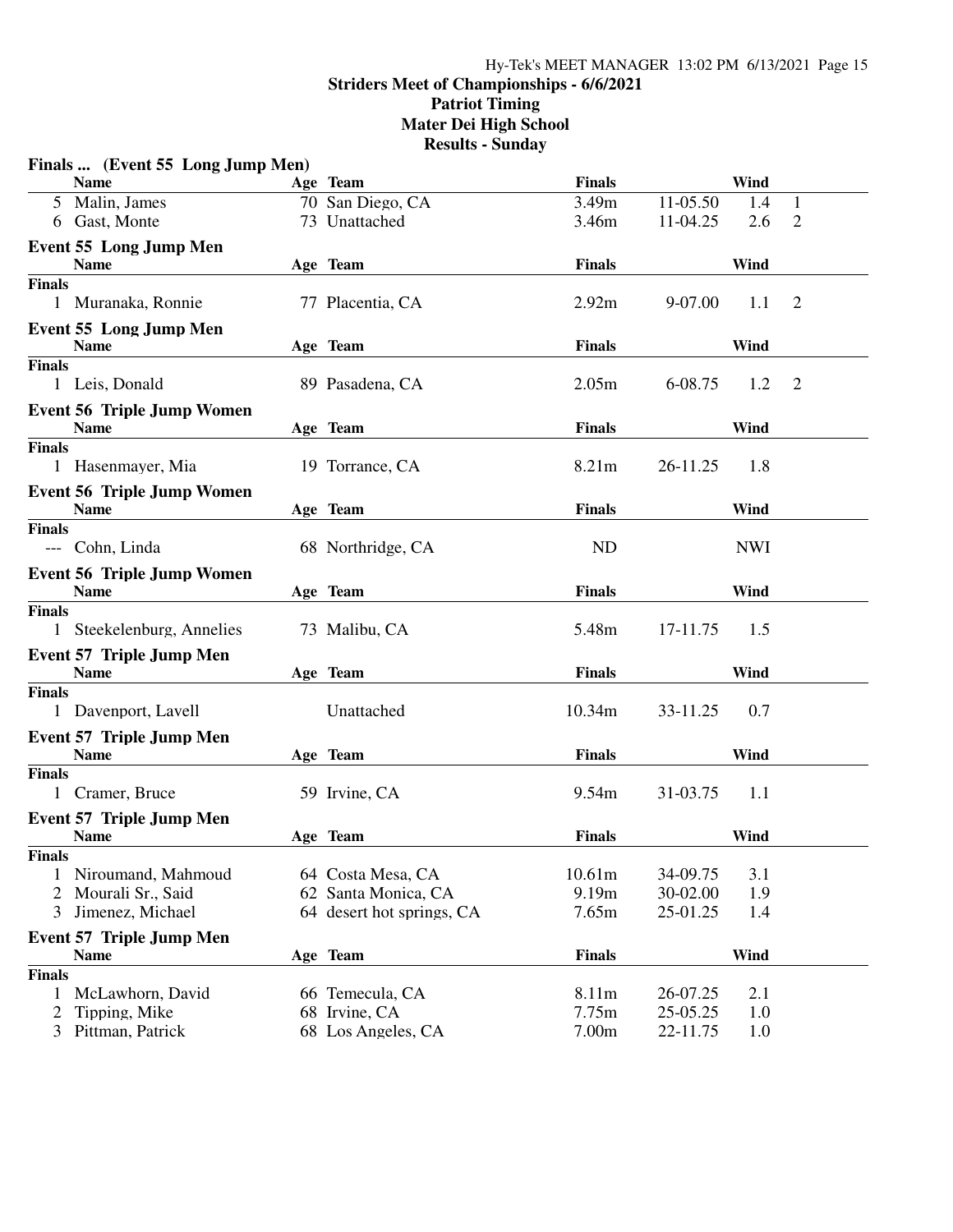#### Hy-Tek's MEET MANAGER 13:02 PM 6/13/2021 Page 15 **Striders Meet of Championships - 6/6/2021 Patriot Timing Mater Dei High School Results - Sunday**

|                | Finals  (Event 55 Long Jump Men)               |                           |               |          |            |                |
|----------------|------------------------------------------------|---------------------------|---------------|----------|------------|----------------|
|                | <b>Name</b>                                    | Age Team                  | <b>Finals</b> |          | Wind       |                |
|                | 5 Malin, James                                 | 70 San Diego, CA          | 3.49m         | 11-05.50 | 1.4        | 1              |
|                | 6 Gast, Monte                                  | 73 Unattached             | 3.46m         | 11-04.25 | 2.6        | $\overline{2}$ |
|                | <b>Event 55 Long Jump Men</b><br><b>Name</b>   | Age Team                  | <b>Finals</b> |          | Wind       |                |
| <b>Finals</b>  |                                                |                           |               |          |            |                |
|                | 1 Muranaka, Ronnie                             | 77 Placentia, CA          | 2.92m         | 9-07.00  | 1.1        | $\overline{2}$ |
|                | <b>Event 55 Long Jump Men</b><br><b>Name</b>   | Age Team                  | <b>Finals</b> |          | Wind       |                |
| <b>Finals</b>  |                                                |                           |               |          |            |                |
|                | 1 Leis, Donald                                 | 89 Pasadena, CA           | 2.05m         | 6-08.75  | 1.2        | $\overline{2}$ |
|                | <b>Event 56 Triple Jump Women</b>              |                           |               |          |            |                |
|                | <b>Name</b>                                    | Age Team                  | <b>Finals</b> |          | Wind       |                |
| <b>Finals</b>  | 1 Hasenmayer, Mia                              | 19 Torrance, CA           | 8.21m         | 26-11.25 | 1.8        |                |
|                | <b>Event 56 Triple Jump Women</b>              |                           |               |          |            |                |
|                | <b>Name</b>                                    | Age Team                  | <b>Finals</b> |          | Wind       |                |
| <b>Finals</b>  | --- Cohn, Linda                                | 68 Northridge, CA         | <b>ND</b>     |          | <b>NWI</b> |                |
|                | <b>Event 56 Triple Jump Women</b>              |                           |               |          |            |                |
|                | <b>Name</b>                                    | Age Team                  | <b>Finals</b> |          | Wind       |                |
| <b>Finals</b>  | 1 Steekelenburg, Annelies                      | 73 Malibu, CA             | 5.48m         | 17-11.75 | 1.5        |                |
|                | <b>Event 57 Triple Jump Men</b><br><b>Name</b> | Age Team                  | <b>Finals</b> |          | Wind       |                |
| <b>Finals</b>  |                                                |                           |               |          |            |                |
|                | 1 Davenport, Lavell                            | Unattached                | 10.34m        | 33-11.25 | 0.7        |                |
|                | <b>Event 57 Triple Jump Men</b><br><b>Name</b> | Age Team                  | <b>Finals</b> |          | Wind       |                |
| <b>Finals</b>  |                                                |                           |               |          |            |                |
|                | 1 Cramer, Bruce                                | 59 Irvine, CA             | 9.54m         | 31-03.75 | 1.1        |                |
|                | <b>Event 57 Triple Jump Men</b>                |                           |               |          |            |                |
|                | <b>Name</b>                                    | Age Team                  | <b>Finals</b> |          | Wind       |                |
| <b>Finals</b>  |                                                |                           |               |          |            |                |
| 1              | Niroumand, Mahmoud                             | 64 Costa Mesa, CA         | 10.61m        | 34-09.75 | 3.1        |                |
| $\overline{2}$ | Mourali Sr., Said                              | 62 Santa Monica, CA       | 9.19m         | 30-02.00 | 1.9        |                |
| 3              | Jimenez, Michael                               | 64 desert hot springs, CA | 7.65m         | 25-01.25 | 1.4        |                |
|                | <b>Event 57 Triple Jump Men</b><br><b>Name</b> | Age Team                  | <b>Finals</b> |          | Wind       |                |
| <b>Finals</b>  |                                                |                           |               |          |            |                |
| 1              | McLawhorn, David                               | 66 Temecula, CA           | 8.11m         | 26-07.25 | 2.1        |                |
| $\overline{2}$ | Tipping, Mike                                  | 68 Irvine, CA             | 7.75m         | 25-05.25 | 1.0        |                |
| 3              | Pittman, Patrick                               | 68 Los Angeles, CA        | 7.00m         | 22-11.75 | 1.0        |                |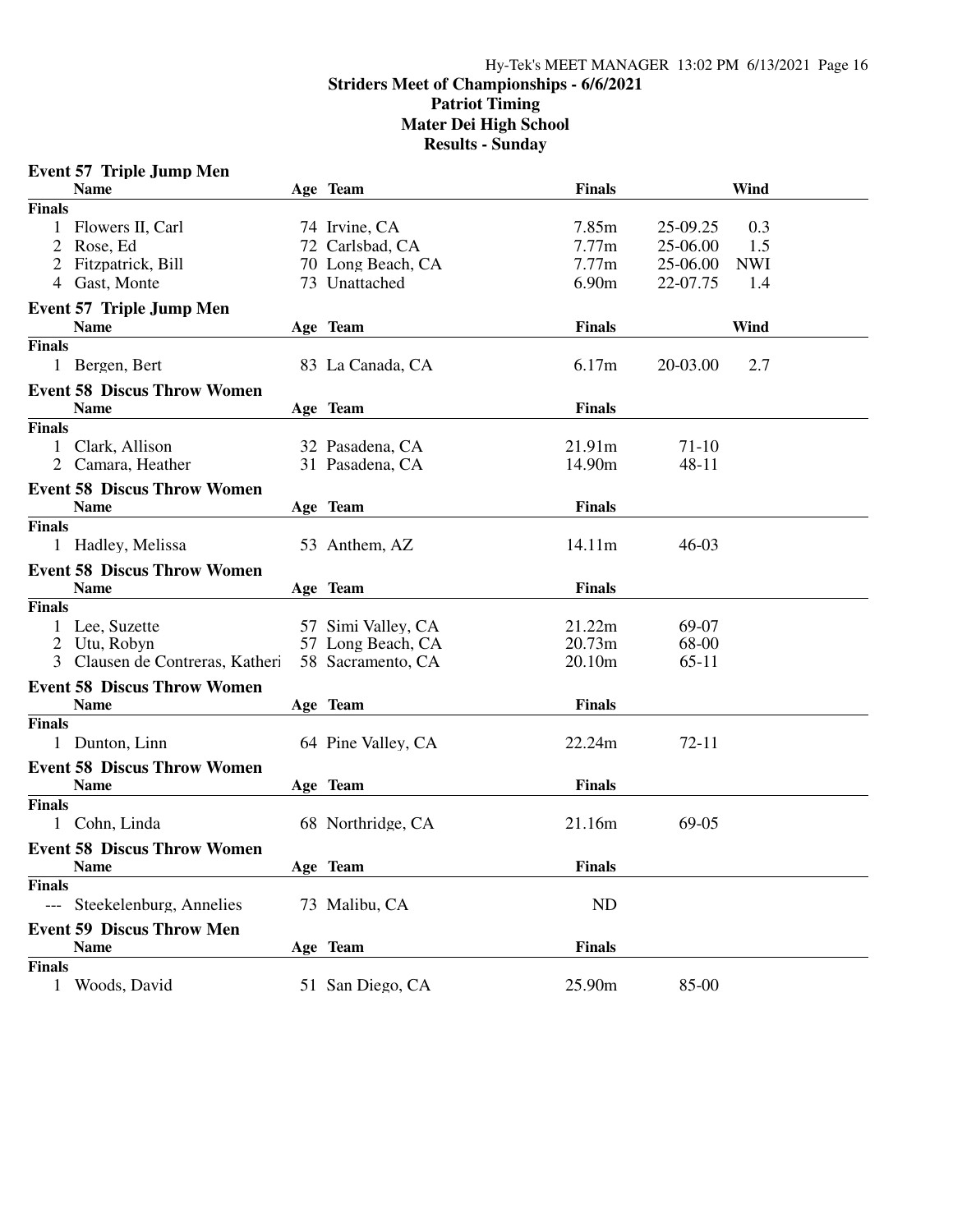### Hy-Tek's MEET MANAGER 13:02 PM 6/13/2021 Page 16 **Striders Meet of Championships - 6/6/2021 Patriot Timing Mater Dei High School Results - Sunday**

|               | <b>Event 57 Triple Jump Men</b>    |                    |               |           |            |  |
|---------------|------------------------------------|--------------------|---------------|-----------|------------|--|
|               | <b>Name</b>                        | Age Team           | <b>Finals</b> |           | Wind       |  |
| <b>Finals</b> |                                    |                    |               |           |            |  |
| 1             | Flowers II, Carl                   | 74 Irvine, CA      | 7.85m         | 25-09.25  | 0.3        |  |
|               | 2 Rose, Ed                         | 72 Carlsbad, CA    | 7.77m         | 25-06.00  | 1.5        |  |
|               | 2 Fitzpatrick, Bill                | 70 Long Beach, CA  | 7.77m         | 25-06.00  | <b>NWI</b> |  |
|               | 4 Gast, Monte                      | 73 Unattached      | 6.90m         | 22-07.75  | 1.4        |  |
|               | <b>Event 57 Triple Jump Men</b>    |                    |               |           |            |  |
|               | <b>Name</b>                        | Age Team           | <b>Finals</b> |           | Wind       |  |
| <b>Finals</b> |                                    |                    |               |           |            |  |
|               | 1 Bergen, Bert                     | 83 La Canada, CA   | 6.17m         | 20-03.00  | 2.7        |  |
|               | <b>Event 58 Discus Throw Women</b> |                    |               |           |            |  |
|               | <b>Name</b>                        | Age Team           | <b>Finals</b> |           |            |  |
| <b>Finals</b> |                                    |                    |               |           |            |  |
| 1             | Clark, Allison                     | 32 Pasadena, CA    | 21.91m        | $71-10$   |            |  |
| 2             | Camara, Heather                    | 31 Pasadena, CA    | 14.90m        | 48-11     |            |  |
|               | <b>Event 58 Discus Throw Women</b> |                    |               |           |            |  |
|               | <b>Name</b>                        | Age Team           | <b>Finals</b> |           |            |  |
| <b>Finals</b> |                                    |                    |               |           |            |  |
|               | 1 Hadley, Melissa                  | 53 Anthem, AZ      | 14.11m        | $46 - 03$ |            |  |
|               | <b>Event 58 Discus Throw Women</b> |                    |               |           |            |  |
|               | <b>Name</b>                        | Age Team           | <b>Finals</b> |           |            |  |
| <b>Finals</b> |                                    |                    |               |           |            |  |
|               | 1 Lee, Suzette                     | 57 Simi Valley, CA | 21.22m        | 69-07     |            |  |
|               | 2 Utu, Robyn                       | 57 Long Beach, CA  | 20.73m        | 68-00     |            |  |
| 3             | Clausen de Contreras, Katheri      | 58 Sacramento, CA  | 20.10m        | $65-11$   |            |  |
|               | <b>Event 58 Discus Throw Women</b> |                    |               |           |            |  |
|               | <b>Name</b>                        | Age Team           | <b>Finals</b> |           |            |  |
| <b>Finals</b> |                                    |                    |               |           |            |  |
|               | 1 Dunton, Linn                     | 64 Pine Valley, CA | 22.24m        | 72-11     |            |  |
|               | <b>Event 58 Discus Throw Women</b> |                    |               |           |            |  |
|               | <b>Name</b>                        | Age Team           | <b>Finals</b> |           |            |  |
| <b>Finals</b> |                                    |                    |               |           |            |  |
|               | 1 Cohn, Linda                      | 68 Northridge, CA  | 21.16m        | 69-05     |            |  |
|               | <b>Event 58 Discus Throw Women</b> |                    |               |           |            |  |
|               | <b>Name</b>                        | Age Team           | Finals        |           |            |  |
| <b>Finals</b> |                                    |                    |               |           |            |  |
| $---$         | Steekelenburg, Annelies            | 73 Malibu, CA      | <b>ND</b>     |           |            |  |
|               | <b>Event 59 Discus Throw Men</b>   |                    |               |           |            |  |
|               | <b>Name</b>                        | Age Team           | <b>Finals</b> |           |            |  |
| <b>Finals</b> |                                    |                    |               |           |            |  |
| 1             | Woods, David                       | 51 San Diego, CA   | 25.90m        | 85-00     |            |  |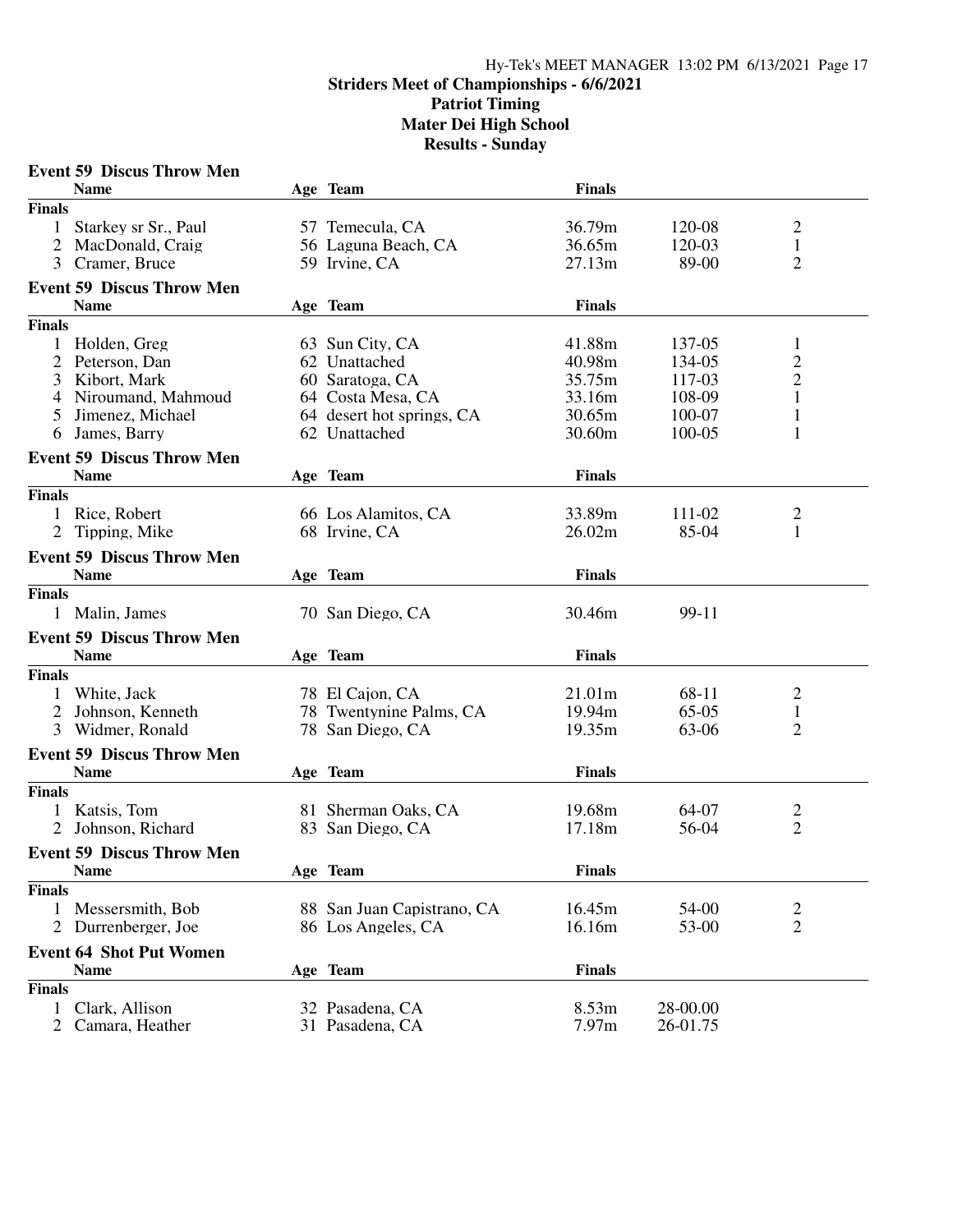### Hy-Tek's MEET MANAGER 13:02 PM 6/13/2021 Page 17 **Striders Meet of Championships - 6/6/2021 Patriot Timing Mater Dei High School Results - Sunday**

|                | <b>Event 59 Discus Throw Men</b> |                            |               |          |                |  |
|----------------|----------------------------------|----------------------------|---------------|----------|----------------|--|
|                | <b>Name</b>                      | Age Team                   | <b>Finals</b> |          |                |  |
| <b>Finals</b>  |                                  |                            |               |          |                |  |
| 1              | Starkey sr Sr., Paul             | 57 Temecula, CA            | 36.79m        | 120-08   | $\overline{c}$ |  |
| 2              | MacDonald, Craig                 | 56 Laguna Beach, CA        | 36.65m        | 120-03   | $\mathbf{1}$   |  |
| 3              | Cramer, Bruce                    | 59 Irvine, CA              | 27.13m        | 89-00    | $\overline{2}$ |  |
|                | <b>Event 59 Discus Throw Men</b> |                            |               |          |                |  |
|                | <b>Name</b>                      | Age Team                   | <b>Finals</b> |          |                |  |
| <b>Finals</b>  |                                  |                            |               |          |                |  |
| 1              | Holden, Greg                     | 63 Sun City, CA            | 41.88m        | 137-05   | 1              |  |
|                | Peterson, Dan                    | 62 Unattached              | 40.98m        | 134-05   | $\overline{c}$ |  |
| 3              | Kibort, Mark                     | 60 Saratoga, CA            | 35.75m        | 117-03   | $\overline{c}$ |  |
| 4              | Niroumand, Mahmoud               | 64 Costa Mesa, CA          | 33.16m        | 108-09   | $\mathbf{1}$   |  |
| 5              | Jimenez, Michael                 | 64 desert hot springs, CA  | 30.65m        | 100-07   | $\mathbf{1}$   |  |
| 6              | James, Barry                     | 62 Unattached              | 30.60m        | 100-05   | $\mathbf{1}$   |  |
|                | <b>Event 59 Discus Throw Men</b> |                            |               |          |                |  |
|                | <b>Name</b>                      | Age Team                   | <b>Finals</b> |          |                |  |
| <b>Finals</b>  |                                  |                            |               |          |                |  |
|                | 1 Rice, Robert                   | 66 Los Alamitos, CA        | 33.89m        | 111-02   | 2              |  |
| 2              | Tipping, Mike                    | 68 Irvine, CA              | 26.02m        | 85-04    | 1              |  |
|                | <b>Event 59 Discus Throw Men</b> |                            |               |          |                |  |
|                | <b>Name</b>                      | Age Team                   | <b>Finals</b> |          |                |  |
| <b>Finals</b>  |                                  |                            |               |          |                |  |
|                | 1 Malin, James                   | 70 San Diego, CA           | 30.46m        | 99-11    |                |  |
|                | <b>Event 59 Discus Throw Men</b> |                            |               |          |                |  |
|                | <b>Name</b>                      | Age Team                   | <b>Finals</b> |          |                |  |
| <b>Finals</b>  |                                  |                            |               |          |                |  |
|                | White, Jack                      | 78 El Cajon, CA            | 21.01m        | 68-11    | $\overline{c}$ |  |
| 2              | Johnson, Kenneth                 | 78 Twentynine Palms, CA    | 19.94m        | $65-05$  | $\mathbf{1}$   |  |
| 3              | Widmer, Ronald                   | 78 San Diego, CA           | 19.35m        | 63-06    | $\overline{2}$ |  |
|                |                                  |                            |               |          |                |  |
|                | <b>Event 59 Discus Throw Men</b> |                            |               |          |                |  |
|                | <b>Name</b>                      | Age Team                   | <b>Finals</b> |          |                |  |
| <b>Finals</b>  |                                  |                            |               |          |                |  |
|                | Katsis, Tom                      | 81 Sherman Oaks, CA        | 19.68m        | 64-07    | 2              |  |
| $\overline{2}$ | Johnson, Richard                 | 83 San Diego, CA           | 17.18m        | 56-04    | $\overline{2}$ |  |
|                | <b>Event 59 Discus Throw Men</b> |                            |               |          |                |  |
|                | <b>Name</b>                      | Age Team                   | <b>Finals</b> |          |                |  |
| <b>Finals</b>  |                                  |                            |               |          |                |  |
| 1              | Messersmith, Bob                 | 88 San Juan Capistrano, CA | 16.45m        | 54-00    | $\overline{c}$ |  |
| 2              | Durrenberger, Joe                | 86 Los Angeles, CA         | 16.16m        | 53-00    | $\overline{2}$ |  |
|                | <b>Event 64 Shot Put Women</b>   |                            |               |          |                |  |
|                | <b>Name</b>                      | Age Team                   | <b>Finals</b> |          |                |  |
| <b>Finals</b>  |                                  |                            |               |          |                |  |
| 1              | Clark, Allison                   | 32 Pasadena, CA            | 8.53m         | 28-00.00 |                |  |
| $\overline{2}$ | Camara, Heather                  | 31 Pasadena, CA            | 7.97m         | 26-01.75 |                |  |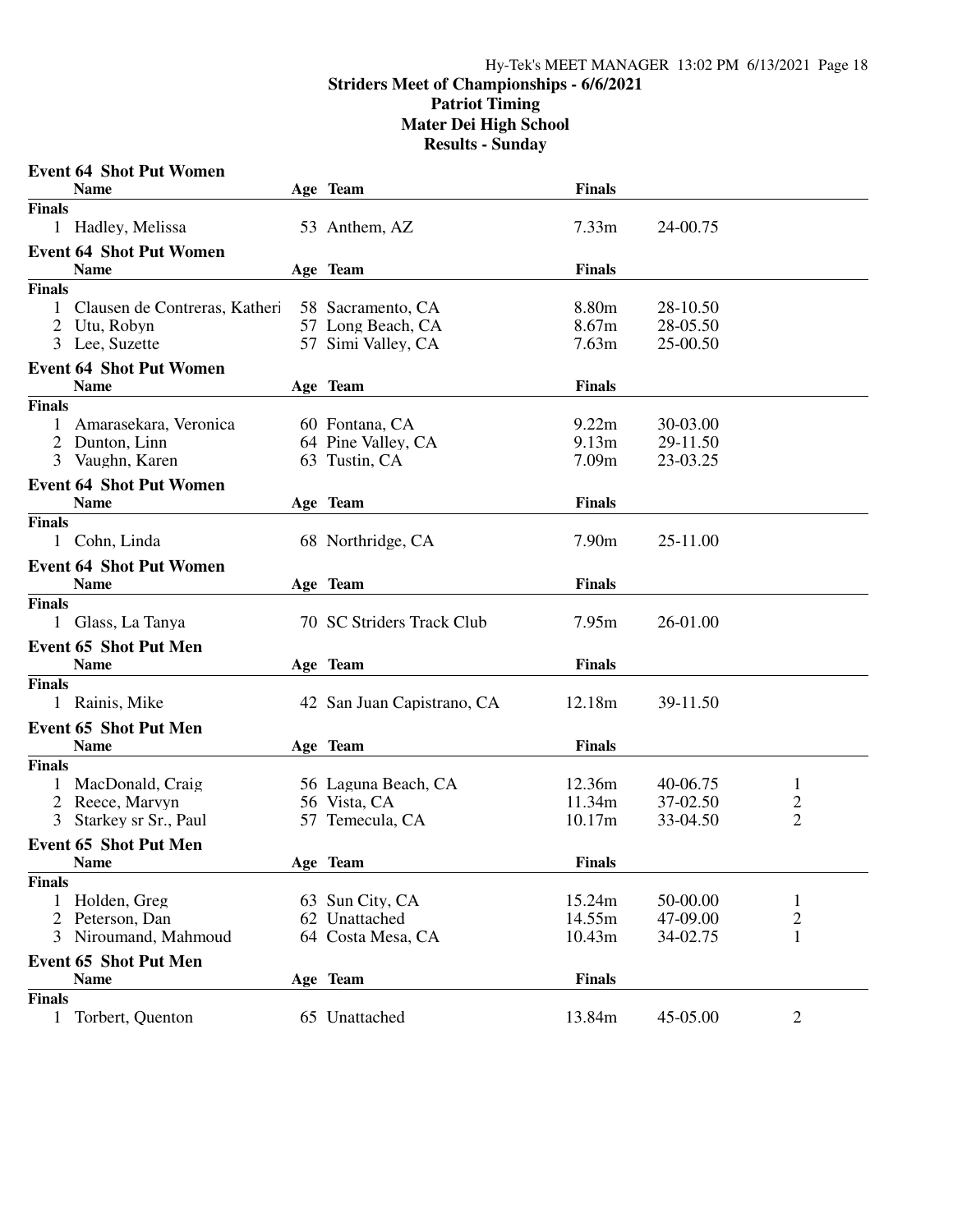## Hy-Tek's MEET MANAGER 13:02 PM 6/13/2021 Page 18 **Striders Meet of Championships - 6/6/2021 Patriot Timing Mater Dei High School Results - Sunday**

|               | <b>Event 64 Shot Put Women</b>        |                                 |                   |                      |                                  |
|---------------|---------------------------------------|---------------------------------|-------------------|----------------------|----------------------------------|
|               | <b>Name</b>                           | Age Team                        | <b>Finals</b>     |                      |                                  |
| <b>Finals</b> |                                       |                                 |                   |                      |                                  |
|               | 1 Hadley, Melissa                     | 53 Anthem, AZ                   | 7.33 <sub>m</sub> | 24-00.75             |                                  |
|               | <b>Event 64 Shot Put Women</b>        |                                 |                   |                      |                                  |
|               | <b>Name</b>                           | Age Team                        | <b>Finals</b>     |                      |                                  |
| <b>Finals</b> |                                       |                                 |                   |                      |                                  |
| 1             | Clausen de Contreras, Katheri         | 58 Sacramento, CA               | 8.80m             | 28-10.50             |                                  |
| 2             | Utu, Robyn                            | 57 Long Beach, CA               | 8.67m             | 28-05.50             |                                  |
|               | 3 Lee, Suzette                        | 57 Simi Valley, CA              | 7.63m             | 25-00.50             |                                  |
|               | <b>Event 64 Shot Put Women</b>        |                                 |                   |                      |                                  |
|               | <b>Name</b>                           | Age Team                        | <b>Finals</b>     |                      |                                  |
| <b>Finals</b> |                                       |                                 |                   |                      |                                  |
| 1             | Amarasekara, Veronica                 | 60 Fontana, CA                  | 9.22m             | 30-03.00             |                                  |
|               | 2 Dunton, Linn                        | 64 Pine Valley, CA              | 9.13m             | 29-11.50             |                                  |
|               | 3 Vaughn, Karen                       | 63 Tustin, CA                   | 7.09m             | 23-03.25             |                                  |
|               | <b>Event 64 Shot Put Women</b>        |                                 |                   |                      |                                  |
|               | <b>Name</b>                           | Age Team                        | <b>Finals</b>     |                      |                                  |
| <b>Finals</b> |                                       |                                 |                   |                      |                                  |
|               | 1 Cohn, Linda                         | 68 Northridge, CA               | 7.90 <sub>m</sub> | 25-11.00             |                                  |
|               | <b>Event 64 Shot Put Women</b>        |                                 |                   |                      |                                  |
|               | <b>Name</b>                           | Age Team                        | <b>Finals</b>     |                      |                                  |
| <b>Finals</b> |                                       |                                 |                   |                      |                                  |
|               | 1 Glass, La Tanya                     | 70 SC Striders Track Club       | 7.95m             | 26-01.00             |                                  |
|               | <b>Event 65 Shot Put Men</b>          |                                 |                   |                      |                                  |
|               | <b>Name</b>                           | Age Team                        | <b>Finals</b>     |                      |                                  |
| <b>Finals</b> |                                       |                                 |                   |                      |                                  |
|               | 1 Rainis, Mike                        | 42 San Juan Capistrano, CA      | 12.18m            | 39-11.50             |                                  |
|               |                                       |                                 |                   |                      |                                  |
|               | <b>Event 65 Shot Put Men</b>          |                                 |                   |                      |                                  |
|               | <b>Name</b>                           | Age Team                        | <b>Finals</b>     |                      |                                  |
| <b>Finals</b> |                                       |                                 |                   |                      |                                  |
| 1             | MacDonald, Craig                      | 56 Laguna Beach, CA             | 12.36m<br>11.34m  | 40-06.75<br>37-02.50 | $\mathbf{1}$                     |
| 3             | Reece, Marvyn<br>Starkey sr Sr., Paul | 56 Vista, CA<br>57 Temecula, CA | 10.17m            | 33-04.50             | $\overline{c}$<br>$\overline{2}$ |
|               |                                       |                                 |                   |                      |                                  |
|               | <b>Event 65 Shot Put Men</b>          |                                 |                   |                      |                                  |
|               | Name                                  | Age Team                        | <b>Finals</b>     |                      |                                  |
| <b>Finals</b> |                                       |                                 |                   |                      |                                  |
| 1             | Holden, Greg                          | 63 Sun City, CA                 | 15.24m            | 50-00.00             | 1                                |
|               | 2 Peterson, Dan                       | 62 Unattached                   | 14.55m            | 47-09.00             | $\overline{c}$                   |
| 3             | Niroumand, Mahmoud                    | 64 Costa Mesa, CA               | 10.43m            | 34-02.75             | $\mathbf{1}$                     |
|               | <b>Event 65 Shot Put Men</b>          |                                 |                   |                      |                                  |
|               | <b>Name</b>                           | Age Team                        | <b>Finals</b>     |                      |                                  |
| <b>Finals</b> |                                       |                                 |                   |                      |                                  |
| 1             | Torbert, Quenton                      | 65 Unattached                   | 13.84m            | 45-05.00             | $\overline{2}$                   |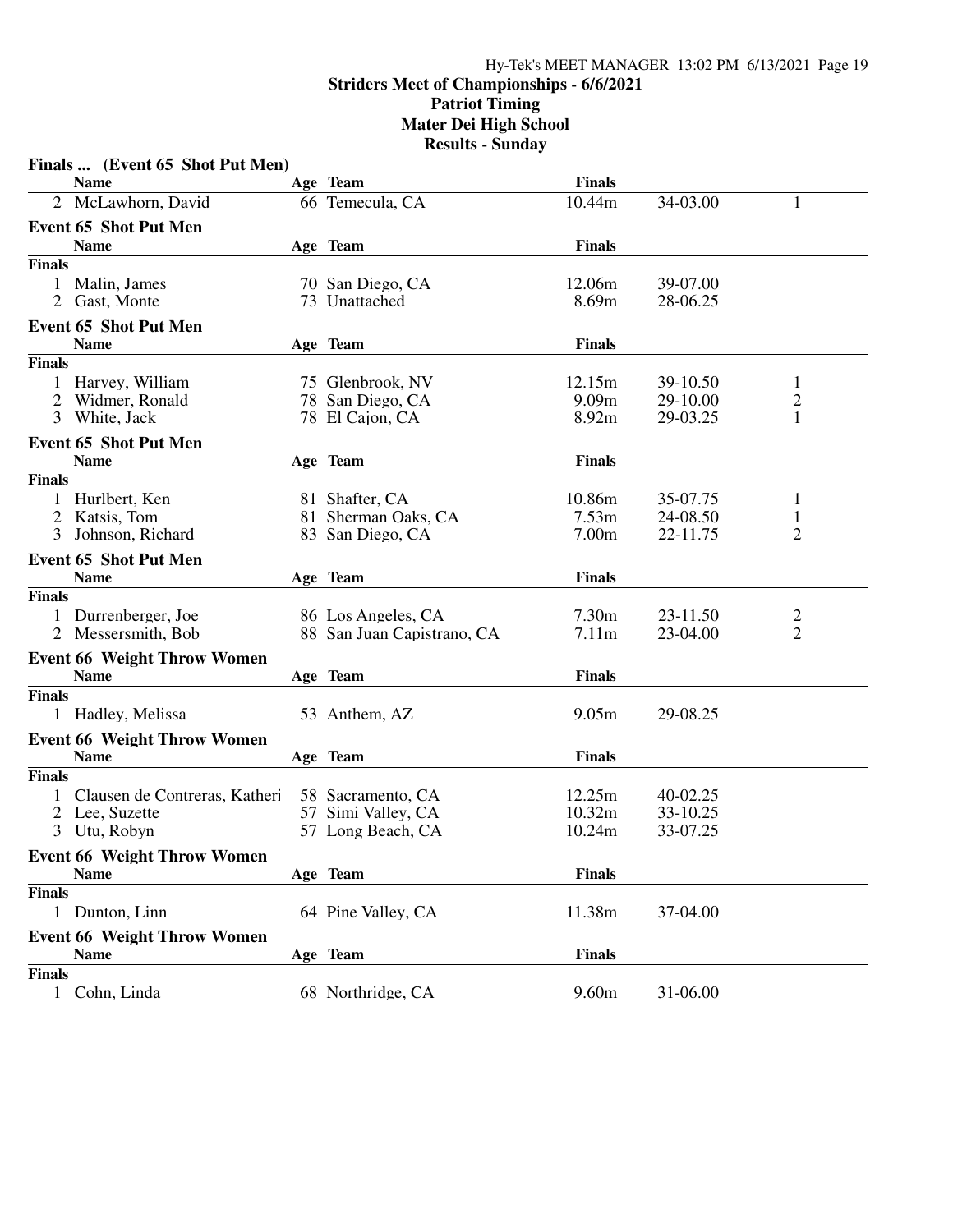#### Hy-Tek's MEET MANAGER 13:02 PM 6/13/2021 Page 19

# **Striders Meet of Championships - 6/6/2021**

**Patriot Timing Mater Dei High School**

|                | Finals  (Event 65 Shot Put Men)    |                            |                   |          |                |
|----------------|------------------------------------|----------------------------|-------------------|----------|----------------|
|                | <b>Name</b>                        | Age Team                   | <b>Finals</b>     |          |                |
|                | 2 McLawhorn, David                 | 66 Temecula, CA            | 10.44m            | 34-03.00 | 1              |
|                | <b>Event 65 Shot Put Men</b>       |                            |                   |          |                |
|                | <b>Name</b>                        | Age Team                   | <b>Finals</b>     |          |                |
| <b>Finals</b>  |                                    |                            |                   |          |                |
| 1              | Malin, James                       | 70 San Diego, CA           | 12.06m            | 39-07.00 |                |
| $\overline{2}$ | Gast, Monte                        | 73 Unattached              | 8.69m             | 28-06.25 |                |
|                | <b>Event 65 Shot Put Men</b>       |                            |                   |          |                |
|                | <b>Name</b>                        | Age Team                   | <b>Finals</b>     |          |                |
| <b>Finals</b>  |                                    |                            |                   |          |                |
| 1              | Harvey, William                    | 75 Glenbrook, NV           | 12.15m            | 39-10.50 | $\mathbf{1}$   |
| 2              | Widmer, Ronald                     | 78 San Diego, CA           | 9.09 <sub>m</sub> | 29-10.00 | $\frac{2}{1}$  |
| 3              | White, Jack                        | 78 El Cajon, CA            | 8.92m             | 29-03.25 |                |
|                | <b>Event 65 Shot Put Men</b>       |                            |                   |          |                |
|                | <b>Name</b>                        | Age Team                   | <b>Finals</b>     |          |                |
| <b>Finals</b>  |                                    |                            |                   |          |                |
| 1              | Hurlbert, Ken                      | 81 Shafter, CA             | 10.86m            | 35-07.75 | 1              |
|                | 2 Katsis, Tom                      | 81 Sherman Oaks, CA        | 7.53m             | 24-08.50 | $\mathbf{1}$   |
| 3              | Johnson, Richard                   | 83 San Diego, CA           | 7.00 <sub>m</sub> | 22-11.75 | $\overline{2}$ |
|                | <b>Event 65 Shot Put Men</b>       |                            |                   |          |                |
|                | <b>Name</b>                        | Age Team                   | <b>Finals</b>     |          |                |
| <b>Finals</b>  |                                    |                            |                   |          |                |
| 1              | Durrenberger, Joe                  | 86 Los Angeles, CA         | 7.30m             | 23-11.50 | 2              |
|                | 2 Messersmith, Bob                 | 88 San Juan Capistrano, CA | 7.11m             | 23-04.00 | $\overline{2}$ |
|                | <b>Event 66 Weight Throw Women</b> |                            |                   |          |                |
|                | <b>Name</b>                        | Age Team                   | <b>Finals</b>     |          |                |
| <b>Finals</b>  |                                    |                            |                   |          |                |
|                | Hadley, Melissa                    | 53 Anthem, AZ              | 9.05m             | 29-08.25 |                |
|                | <b>Event 66 Weight Throw Women</b> |                            |                   |          |                |
|                | <b>Name</b>                        | Age Team                   | <b>Finals</b>     |          |                |
| <b>Finals</b>  |                                    |                            |                   |          |                |
| 1              | Clausen de Contreras, Katheri      | 58 Sacramento, CA          | 12.25m            | 40-02.25 |                |
|                | 2 Lee, Suzette                     | 57 Simi Valley, CA         | 10.32m            | 33-10.25 |                |
|                | 3 Utu, Robyn                       | 57 Long Beach, CA          | 10.24m            | 33-07.25 |                |
|                | <b>Event 66 Weight Throw Women</b> |                            |                   |          |                |
|                | <b>Name</b>                        | Age Team                   | <b>Finals</b>     |          |                |
| <b>Finals</b>  |                                    |                            |                   |          |                |
|                | 1 Dunton, Linn                     | 64 Pine Valley, CA         | 11.38m            | 37-04.00 |                |
|                | <b>Event 66 Weight Throw Women</b> |                            |                   |          |                |
|                | <b>Name</b>                        | Age Team                   | <b>Finals</b>     |          |                |
| <b>Finals</b>  |                                    |                            |                   |          |                |
|                | 1 Cohn, Linda                      | 68 Northridge, CA          | 9.60m             | 31-06.00 |                |
|                |                                    |                            |                   |          |                |